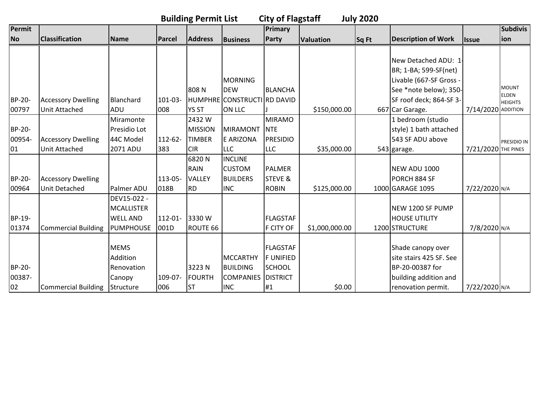|           | <b>Building Permit List</b><br><b>City of Flagstaff</b><br><b>July 2020</b> |                   |               |                |                             |                 |                  |       |                            |                     |                              |  |  |
|-----------|-----------------------------------------------------------------------------|-------------------|---------------|----------------|-----------------------------|-----------------|------------------|-------|----------------------------|---------------------|------------------------------|--|--|
| Permit    |                                                                             |                   |               |                |                             | Primary         |                  |       |                            |                     | <b>Subdivis</b>              |  |  |
| <b>No</b> | <b>Classification</b>                                                       | <b>Name</b>       | <b>Parcel</b> | <b>Address</b> | Business                    | Party           | <b>Valuation</b> | Sq Ft | <b>Description of Work</b> | <b>Issue</b>        | ion                          |  |  |
|           |                                                                             |                   |               |                |                             |                 |                  |       |                            |                     |                              |  |  |
|           |                                                                             |                   |               |                |                             |                 |                  |       | New Detached ADU: 1        |                     |                              |  |  |
|           |                                                                             |                   |               |                |                             |                 |                  |       | BR; 1-BA; 599-SF(net)      |                     |                              |  |  |
|           |                                                                             |                   |               |                | <b>MORNING</b>              |                 |                  |       | Livable (667-SF Gross -    |                     |                              |  |  |
|           |                                                                             |                   |               | 808N           | <b>DEW</b>                  | <b>BLANCHA</b>  |                  |       | See *note below); 350-     |                     | <b>MOUNT</b><br><b>ELDEN</b> |  |  |
| BP-20-    | <b>Accessory Dwelling</b>                                                   | Blanchard         | 101-03-       |                | HUMPHRE CONSTRUCTI RD DAVID |                 |                  |       | SF roof deck; 864-SF 3-    |                     | <b>HEIGHTS</b>               |  |  |
| 00797     | <b>Unit Attached</b>                                                        | ADU               | 008           | <b>YS ST</b>   | <b>ON LLC</b>               |                 | \$150,000.00     |       | 667 Car Garage.            | 7/14/2020 ADDITION  |                              |  |  |
|           |                                                                             | Miramonte         |               | 2432W          |                             | <b>MIRAMO</b>   |                  |       | 1 bedroom (studio          |                     |                              |  |  |
| BP-20-    |                                                                             | Presidio Lot      |               | <b>MISSION</b> | <b>MIRAMONT</b>             | <b>NTE</b>      |                  |       | style) 1 bath attached     |                     |                              |  |  |
| 00954-    | <b>Accessory Dwelling</b>                                                   | 44C Model         | 112-62-       | <b>TIMBER</b>  | E ARIZONA                   | <b>PRESIDIO</b> |                  |       | 543 SF ADU above           |                     | PRESIDIO IN                  |  |  |
| 01        | Unit Attached                                                               | 2071 ADU          | 383           | <b>CIR</b>     | <b>LLC</b>                  | <b>LLC</b>      | \$35,000.00      |       | 543 garage.                | 7/21/2020 THE PINES |                              |  |  |
|           |                                                                             |                   |               | 6820N          | <b>INCLINE</b>              |                 |                  |       |                            |                     |                              |  |  |
|           |                                                                             |                   |               | <b>RAIN</b>    | <b>CUSTOM</b>               | <b>PALMER</b>   |                  |       | <b>NEW ADU 1000</b>        |                     |                              |  |  |
| BP-20-    | <b>Accessory Dwelling</b>                                                   |                   | 113-05-       | <b>VALLEY</b>  | <b>BUILDERS</b>             | STEVE &         |                  |       | PORCH 884 SF               |                     |                              |  |  |
| 00964     | Unit Detached                                                               | Palmer ADU        | 018B          | <b>RD</b>      | <b>INC</b>                  | <b>ROBIN</b>    | \$125,000.00     |       | 1000 GARAGE 1095           | 7/22/2020 N/A       |                              |  |  |
|           |                                                                             | DEV15-022 -       |               |                |                             |                 |                  |       |                            |                     |                              |  |  |
|           |                                                                             | <b>MCALLISTER</b> |               |                |                             |                 |                  |       | NEW 1200 SF PUMP           |                     |                              |  |  |
| BP-19-    |                                                                             | <b>WELL AND</b>   | $112 - 01 -$  | 3330W          |                             | <b>FLAGSTAF</b> |                  |       | <b>HOUSE UTILITY</b>       |                     |                              |  |  |
| 01374     | <b>Commercial Building</b>                                                  | <b>PUMPHOUSE</b>  | 001D          | ROUTE 66       |                             | F CITY OF       | \$1,000,000.00   |       | 1200 STRUCTURE             | 7/8/2020 N/A        |                              |  |  |
|           |                                                                             |                   |               |                |                             |                 |                  |       |                            |                     |                              |  |  |
|           |                                                                             | <b>MEMS</b>       |               |                |                             | <b>FLAGSTAF</b> |                  |       | Shade canopy over          |                     |                              |  |  |
|           |                                                                             | Addition          |               |                | <b>MCCARTHY</b>             | <b>FUNIFIED</b> |                  |       | site stairs 425 SF. See    |                     |                              |  |  |
| BP-20-    |                                                                             | Renovation        |               | 3223N          | <b>BUILDING</b>             | <b>SCHOOL</b>   |                  |       | BP-20-00387 for            |                     |                              |  |  |
| 00387-    |                                                                             | Canopy            | 109-07-       | <b>FOURTH</b>  | <b>COMPANIES</b>            | <b>DISTRICT</b> |                  |       | building addition and      |                     |                              |  |  |
| 02        | <b>Commercial Building</b>                                                  | Structure         | 006           | <b>ST</b>      | <b>INC</b>                  | #1              | \$0.00           |       | renovation permit.         | 7/22/2020 N/A       |                              |  |  |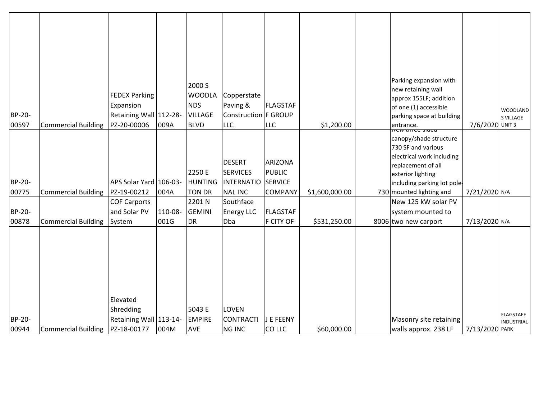|                 |                            | <b>FEDEX Parking</b><br>Expansion               |         | 2000 S<br><b>WOODLA</b><br><b>NDS</b>     | Copperstate<br>Paving &<br>Construction F GROUP                         | <b>FLAGSTAF</b>                                              |                | Parking expansion with<br>new retaining wall<br>approx 155LF; addition<br>of one (1) accessible                                                                                                         |                 | <b>WOODLAND</b>                       |
|-----------------|----------------------------|-------------------------------------------------|---------|-------------------------------------------|-------------------------------------------------------------------------|--------------------------------------------------------------|----------------|---------------------------------------------------------------------------------------------------------------------------------------------------------------------------------------------------------|-----------------|---------------------------------------|
| BP-20-<br>00597 | <b>Commercial Building</b> | Retaining Wall 112-28-<br>PZ-20-00006           | 009A    | <b>VILLAGE</b><br><b>BLVD</b>             | <b>LLC</b>                                                              | <b>LLC</b>                                                   | \$1,200.00     | parking space at building<br>entrance.                                                                                                                                                                  | 7/6/2020 UNIT 3 | S VILLAGE                             |
| BP-20-<br>00775 | <b>Commercial Building</b> | APS Solar Yard 106-03-<br>PZ-19-00212           | 004A    | 2250 E<br><b>HUNTING</b><br><b>TON DR</b> | <b>DESERT</b><br><b>SERVICES</b><br><b>INTERNATIO</b><br><b>NAL INC</b> | <b>ARIZONA</b><br>PUBLIC<br><b>SERVICE</b><br><b>COMPANY</b> | \$1,600,000.00 | <del>rcc siucu</del><br>canopy/shade structure<br>730 SF and various<br>electrical work including<br>replacement of all<br>exterior lighting<br>including parking lot pole-<br>730 mounted lighting and | 7/21/2020 N/A   |                                       |
|                 |                            | <b>COF Carports</b>                             |         | 2201 N                                    | Southface                                                               |                                                              |                | New 125 kW solar PV                                                                                                                                                                                     |                 |                                       |
| BP-20-          |                            | and Solar PV                                    | 110-08- | <b>GEMINI</b>                             | <b>Energy LLC</b>                                                       | FLAGSTAF                                                     |                | system mounted to                                                                                                                                                                                       |                 |                                       |
| 00878           | <b>Commercial Building</b> | System                                          | 001G    | <b>DR</b>                                 | Dba                                                                     | F CITY OF                                                    | \$531,250.00   | 8006 two new carport                                                                                                                                                                                    | 7/13/2020 N/A   |                                       |
| <b>BP-20-</b>   |                            | Elevated<br>Shredding<br>Retaining Wall 113-14- |         | 5043 E<br><b>EMPIRE</b>                   | <b>LOVEN</b><br><b>CONTRACTI</b>                                        | J E FEENY                                                    |                | Masonry site retaining                                                                                                                                                                                  |                 | <b>FLAGSTAFF</b><br><b>INDUSTRIAL</b> |
| 00944           | <b>Commercial Building</b> | PZ-18-00177                                     | 004M    | <b>AVE</b>                                | <b>NG INC</b>                                                           | CO LLC                                                       | \$60,000.00    | walls approx. 238 LF                                                                                                                                                                                    | 7/13/2020 PARK  |                                       |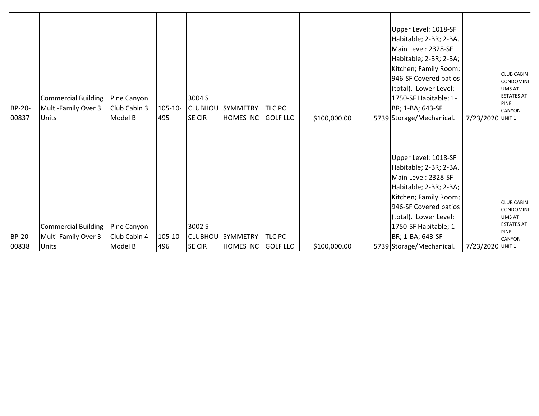| BP-20-<br>00837 | <b>Commercial Building</b><br>Multi-Family Over 3<br><b>Units</b> | Pine Canyon<br>Club Cabin 3<br>Model B | 105-10-<br>495      | 3004 S<br><b>SE CIR</b> | <b>CLUBHOU SYMMETRY</b><br><b>HOMES INC</b> | <b>TLC PC</b><br><b>GOLF LLC</b> | \$100,000.00 | Upper Level: 1018-SF<br>Habitable; 2-BR; 2-BA.<br>Main Level: 2328-SF<br>Habitable; 2-BR; 2-BA;<br>Kitchen; Family Room;<br>946-SF Covered patios<br>(total). Lower Level:<br>1750-SF Habitable; 1-<br>BR; 1-BA; 643-SF<br>5739 Storage/Mechanical. | 7/23/2020 UNIT 1 | <b>CLUB CABIN</b><br><b>CONDOMINI</b><br>UMS AT<br><b>ESTATES AT</b><br><b>PINE</b><br><b>CANYON</b>        |
|-----------------|-------------------------------------------------------------------|----------------------------------------|---------------------|-------------------------|---------------------------------------------|----------------------------------|--------------|-----------------------------------------------------------------------------------------------------------------------------------------------------------------------------------------------------------------------------------------------------|------------------|-------------------------------------------------------------------------------------------------------------|
| BP-20-<br>00838 | Commercial Building<br>Multi-Family Over 3<br><b>Units</b>        | Pine Canyon<br>Club Cabin 4<br>Model B | $105 - 10 -$<br>496 | 3002 S<br><b>SE CIR</b> | <b>CLUBHOU SYMMETRY</b><br><b>HOMES INC</b> | TLC PC<br>GOLF LLC               | \$100,000.00 | Upper Level: 1018-SF<br>Habitable; 2-BR; 2-BA.<br>Main Level: 2328-SF<br>Habitable; 2-BR; 2-BA;<br>Kitchen; Family Room;<br>946-SF Covered patios<br>(total). Lower Level:<br>1750-SF Habitable; 1-<br>BR; 1-BA; 643-SF<br>5739 Storage/Mechanical. | 7/23/2020 UNIT 1 | <b>CLUB CABIN</b><br><b>CONDOMINI</b><br><b>UMS AT</b><br><b>ESTATES AT</b><br><b>PINE</b><br><b>CANYON</b> |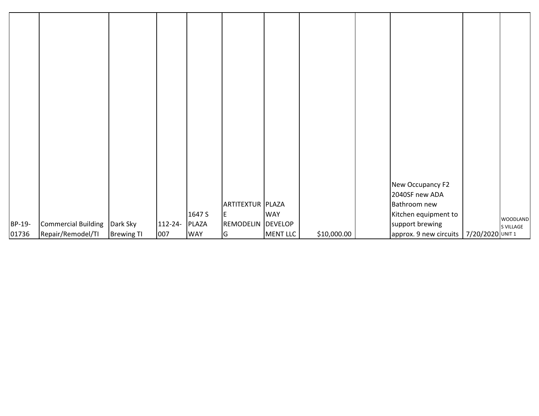| BP-19-<br>01736 | <b>Commercial Building</b><br>Repair/Remodel/TI | Dark Sky<br><b>Brewing TI</b> | 112-24-<br>007 | 1647 S<br>PLAZA<br><b>WAY</b> | ARTITEXTUR PLAZA<br>E<br>REMODELIN DEVELOP<br>G | <b>WAY</b><br>MENT LLC | \$10,000.00 | New Occupancy F2<br>2040SF new ADA<br>Bathroom new<br>Kitchen equipment to<br>support brewing<br>approx. 9 new circuits   7/20/2020 UNIT 1 | WOODLAND<br>S VILLAGE |
|-----------------|-------------------------------------------------|-------------------------------|----------------|-------------------------------|-------------------------------------------------|------------------------|-------------|--------------------------------------------------------------------------------------------------------------------------------------------|-----------------------|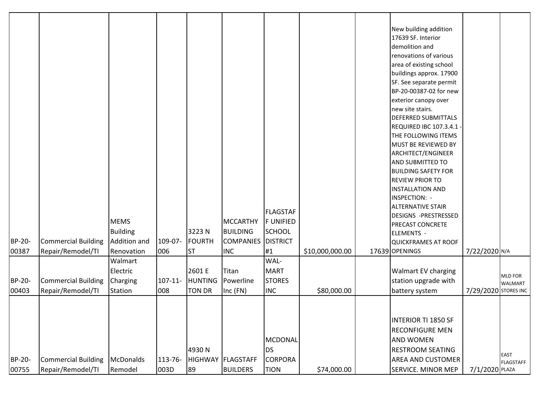| BP-20-<br>00387        | <b>Commercial Building</b><br>Repair/Remodel/TI | <b>MEMS</b><br><b>Building</b><br>Addition and<br>Renovation | 109-07-<br>006    | 3223N<br><b>FOURTH</b><br><b>ST</b>       | <b>MCCARTHY</b><br><b>BUILDING</b><br><b>COMPANIES</b><br><b>INC</b> | <b>FLAGSTAF</b><br><b>FUNIFIED</b><br>SCHOOL<br><b>DISTRICT</b><br>#1 | \$10,000,000.00 | New building addition<br>17639 SF. Interior<br>demolition and<br>renovations of various<br>area of existing school<br>buildings approx. 17900<br>SF. See separate permit<br>BP-20-00387-02 for new<br>exterior canopy over<br>new site stairs.<br><b>DEFERRED SUBMITTALS</b><br><b>REQUIRED IBC 107.3.4.1 -</b><br>THE FOLLOWING ITEMS<br>MUST BE REVIEWED BY<br>ARCHITECT/ENGINEER<br>AND SUBMITTED TO<br><b>BUILDING SAFETY FOR</b><br><b>REVIEW PRIOR TO</b><br><b>INSTALLATION AND</b><br>INSPECTION: -<br><b>ALTERNATIVE STAIR</b><br><b>DESIGNS -PRESTRESSED</b><br><b>PRECAST CONCRETE</b><br><b>ELEMENTS -</b><br>QUICKFRAMES AT ROOF<br>17639 OPENINGS | 7/22/2020 N/A        |                                 |
|------------------------|-------------------------------------------------|--------------------------------------------------------------|-------------------|-------------------------------------------|----------------------------------------------------------------------|-----------------------------------------------------------------------|-----------------|-----------------------------------------------------------------------------------------------------------------------------------------------------------------------------------------------------------------------------------------------------------------------------------------------------------------------------------------------------------------------------------------------------------------------------------------------------------------------------------------------------------------------------------------------------------------------------------------------------------------------------------------------------------------|----------------------|---------------------------------|
| BP-20-<br>00403        | <b>Commercial Building</b><br>Repair/Remodel/TI | Walmart<br>Electric<br>Charging<br>Station                   | $107 - 11$<br>008 | 2601 E<br><b>HUNTING</b><br><b>TON DR</b> | Titan<br>Powerline<br>$Inc$ $(FN)$                                   | WAL-<br>MART<br><b>STORES</b><br><b>INC</b>                           | \$80,000.00     | <b>Walmart EV charging</b><br>station upgrade with<br>battery system                                                                                                                                                                                                                                                                                                                                                                                                                                                                                                                                                                                            | 7/29/2020 STORES INC | <b>MLD FOR</b><br>WALMART       |
| <b>BP-20-</b><br>00755 | <b>Commercial Building</b><br>Repair/Remodel/TI | <b>McDonalds</b><br>Remodel                                  | 113-76-<br>003D   | 4930N<br>89                               | <b>HIGHWAY FLAGSTAFF</b><br><b>BUILDERS</b>                          | MCDONAL<br><b>DS</b><br><b>CORPORA</b><br><b>TION</b>                 | \$74,000.00     | <b>INTERIOR TI 1850 SF</b><br><b>RECONFIGURE MEN</b><br><b>AND WOMEN</b><br><b>RESTROOM SEATING</b><br><b>AREA AND CUSTOMER</b><br><b>SERVICE. MINOR MEP</b>                                                                                                                                                                                                                                                                                                                                                                                                                                                                                                    | 7/1/2020 PLAZA       | <b>EAST</b><br><b>FLAGSTAFF</b> |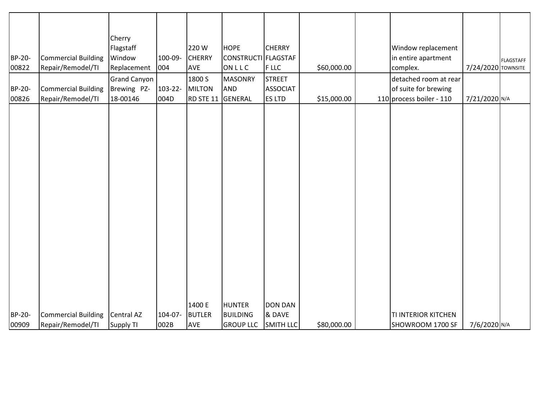|        |                            | Cherry              |         |               |                     |                 |             |                          |                    |                  |
|--------|----------------------------|---------------------|---------|---------------|---------------------|-----------------|-------------|--------------------------|--------------------|------------------|
|        |                            | Flagstaff           |         | 220W          | <b>HOPE</b>         | <b>CHERRY</b>   |             | Window replacement       |                    |                  |
| BP-20- | <b>Commercial Building</b> | Window              | 100-09- | <b>CHERRY</b> | CONSTRUCTI FLAGSTAF |                 |             | in entire apartment      |                    | <b>FLAGSTAFF</b> |
| 00822  | Repair/Remodel/TI          | Replacement         | 004     | <b>AVE</b>    | ONLLC               | <b>FLLC</b>     | \$60,000.00 | complex.                 | 7/24/2020 TOWNSITE |                  |
|        |                            | <b>Grand Canyon</b> |         | 1800 S        | <b>MASONRY</b>      | <b>STREET</b>   |             | detached room at rear    |                    |                  |
| BP-20- | <b>Commercial Building</b> | Brewing PZ-         | 103-22- | <b>MILTON</b> | <b>AND</b>          | <b>ASSOCIAT</b> |             | of suite for brewing     |                    |                  |
| 00826  | Repair/Remodel/TI          | 18-00146            | 004D    | RD STE 11     | GENERAL             | <b>ES LTD</b>   | \$15,000.00 | 110 process boiler - 110 | 7/21/2020 N/A      |                  |
|        |                            |                     |         |               |                     |                 |             |                          |                    |                  |
|        |                            |                     |         |               |                     |                 |             |                          |                    |                  |
|        |                            |                     |         |               |                     |                 |             |                          |                    |                  |
|        |                            |                     |         |               |                     |                 |             |                          |                    |                  |
|        |                            |                     |         |               |                     |                 |             |                          |                    |                  |
|        |                            |                     |         |               |                     |                 |             |                          |                    |                  |
|        |                            |                     |         |               |                     |                 |             |                          |                    |                  |
|        |                            |                     |         |               |                     |                 |             |                          |                    |                  |
|        |                            |                     |         |               |                     |                 |             |                          |                    |                  |
|        |                            |                     |         |               |                     |                 |             |                          |                    |                  |
|        |                            |                     |         |               |                     |                 |             |                          |                    |                  |
|        |                            |                     |         |               |                     |                 |             |                          |                    |                  |
|        |                            |                     |         |               |                     |                 |             |                          |                    |                  |
|        |                            |                     |         |               |                     |                 |             |                          |                    |                  |
|        |                            |                     |         |               |                     |                 |             |                          |                    |                  |
|        |                            |                     |         |               |                     |                 |             |                          |                    |                  |
|        |                            |                     |         |               |                     |                 |             |                          |                    |                  |
|        |                            |                     |         |               |                     |                 |             |                          |                    |                  |
|        |                            |                     |         | 1400 E        | <b>HUNTER</b>       | <b>DON DAN</b>  |             |                          |                    |                  |
| BP-20- | <b>Commercial Building</b> | Central AZ          | 104-07- | <b>BUTLER</b> | <b>BUILDING</b>     | & DAVE          |             | TI INTERIOR KITCHEN      |                    |                  |
| 00909  | Repair/Remodel/TI          | <b>Supply TI</b>    | 002B    | <b>AVE</b>    | <b>GROUP LLC</b>    | SMITH LLC       | \$80,000.00 | SHOWROOM 1700 SF         | 7/6/2020 N/A       |                  |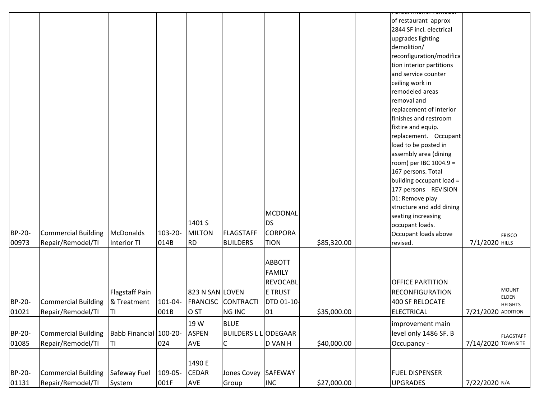|        |                            |                        |         |                 |                            |                   |             | of restaurant approx     |                    |                  |
|--------|----------------------------|------------------------|---------|-----------------|----------------------------|-------------------|-------------|--------------------------|--------------------|------------------|
|        |                            |                        |         |                 |                            |                   |             | 2844 SF incl. electrical |                    |                  |
|        |                            |                        |         |                 |                            |                   |             | upgrades lighting        |                    |                  |
|        |                            |                        |         |                 |                            |                   |             | demolition/              |                    |                  |
|        |                            |                        |         |                 |                            |                   |             | reconfiguration/modifica |                    |                  |
|        |                            |                        |         |                 |                            |                   |             | tion interior partitions |                    |                  |
|        |                            |                        |         |                 |                            |                   |             | and service counter      |                    |                  |
|        |                            |                        |         |                 |                            |                   |             | ceiling work in          |                    |                  |
|        |                            |                        |         |                 |                            |                   |             | remodeled areas          |                    |                  |
|        |                            |                        |         |                 |                            |                   |             | removal and              |                    |                  |
|        |                            |                        |         |                 |                            |                   |             | replacement of interior  |                    |                  |
|        |                            |                        |         |                 |                            |                   |             | finishes and restroom    |                    |                  |
|        |                            |                        |         |                 |                            |                   |             | fixtire and equip.       |                    |                  |
|        |                            |                        |         |                 |                            |                   |             | replacement. Occupant    |                    |                  |
|        |                            |                        |         |                 |                            |                   |             | load to be posted in     |                    |                  |
|        |                            |                        |         |                 |                            |                   |             | assembly area (dining    |                    |                  |
|        |                            |                        |         |                 |                            |                   |             | room) per IBC 1004.9 =   |                    |                  |
|        |                            |                        |         |                 |                            |                   |             | 167 persons. Total       |                    |                  |
|        |                            |                        |         |                 |                            |                   |             | building occupant load = |                    |                  |
|        |                            |                        |         |                 |                            |                   |             | 177 persons REVISION     |                    |                  |
|        |                            |                        |         |                 |                            |                   |             | 01: Remove play          |                    |                  |
|        |                            |                        |         |                 |                            |                   |             | structure and add dining |                    |                  |
|        |                            |                        |         |                 |                            | <b>MCDONAL</b>    |             | seating increasing       |                    |                  |
|        |                            |                        |         | 1401 S          |                            | <b>DS</b>         |             | occupant loads.          |                    |                  |
| BP-20- | <b>Commercial Building</b> | McDonalds              | 103-20- | <b>MILTON</b>   | <b>FLAGSTAFF</b>           | <b>CORPORA</b>    |             | Occupant loads above     |                    | <b>FRISCO</b>    |
| 00973  | Repair/Remodel/TI          | <b>Interior TI</b>     | 014B    | <b>RD</b>       | <b>BUILDERS</b>            | <b>TION</b>       | \$85,320.00 | revised.                 | 7/1/2020 HILLS     |                  |
|        |                            |                        |         |                 |                            |                   |             |                          |                    |                  |
|        |                            |                        |         |                 |                            | <b>ABBOTT</b>     |             |                          |                    |                  |
|        |                            |                        |         |                 |                            | FAMILY            |             |                          |                    |                  |
|        |                            |                        |         |                 |                            | REVOCABL          |             | <b>OFFICE PARTITION</b>  |                    |                  |
|        |                            | <b>Flagstaff Pain</b>  |         | 823 N SAN LOVEN |                            | <b>E TRUST</b>    |             | <b>RECONFIGURATION</b>   |                    | <b>MOUNT</b>     |
| BP-20- | <b>Commercial Building</b> | & Treatment            | 101-04- |                 | <b>FRANCISC</b> CONTRACTI  | <b>DTD 01-10-</b> |             | 400 SF RELOCATE          |                    | <b>ELDEN</b>     |
| 01021  | Repair/Remodel/TI          | IΤΙ                    | 001B    | O ST            | <b>NG INC</b>              | 01                | \$35,000.00 | ELECTRICAL               | 7/21/2020 ADDITION | <b>HEIGHTS</b>   |
|        |                            |                        |         |                 |                            |                   |             |                          |                    |                  |
|        |                            |                        |         | 19 W            | <b>BLUE</b>                |                   |             | improvement main         |                    |                  |
| BP-20- | <b>Commercial Building</b> | Babb Financial 100-20- |         | <b>ASPEN</b>    | <b>BUILDERS L LODEGAAR</b> |                   |             | level only 1486 SF. B    |                    | <b>FLAGSTAFF</b> |
| 01085  | Repair/Remodel/TI          | ΙTΙ                    | 024     | AVE             | $\mathsf{C}$               | D VAN H           | \$40,000.00 | Occupancy -              | 7/14/2020 TOWNSITE |                  |
|        |                            |                        |         |                 |                            |                   |             |                          |                    |                  |
|        |                            |                        |         | 1490 E          |                            |                   |             |                          |                    |                  |
| BP-20- | <b>Commercial Building</b> | Safeway Fuel           | 109-05- | <b>CEDAR</b>    | Jones Covey SAFEWAY        |                   |             | <b>FUEL DISPENSER</b>    |                    |                  |
| 01131  | Repair/Remodel/TI          | System                 | 001F    | AVE             | Group                      | <b>INC</b>        | \$27,000.00 | <b>UPGRADES</b>          | 7/22/2020 N/A      |                  |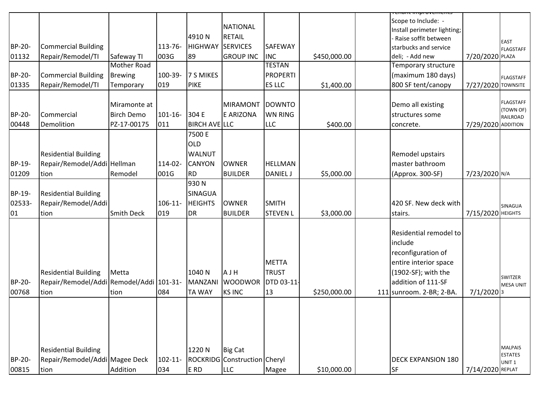|               |                                          |                           |            |                         |                              |                             |              | <del>enant miprovement</del> |                    |                                  |
|---------------|------------------------------------------|---------------------------|------------|-------------------------|------------------------------|-----------------------------|--------------|------------------------------|--------------------|----------------------------------|
|               |                                          |                           |            |                         | <b>NATIONAL</b>              |                             |              | Scope to Include: -          |                    |                                  |
|               |                                          |                           |            | 4910N                   | <b>RETAIL</b>                |                             |              | Install perimeter lighting;  |                    |                                  |
| BP-20-        | <b>Commercial Building</b>               |                           | 113-76-    | <b>HIGHWAY SERVICES</b> |                              | SAFEWAY                     |              | Raise soffit between         |                    | EAST                             |
|               |                                          |                           |            |                         |                              |                             |              | starbucks and service        |                    | <b>FLAGSTAFF</b>                 |
| 01132         | Repair/Remodel/TI                        | Safeway TI<br>Mother Road | 003G       | 89                      | <b>GROUP INC</b>             | <b>INC</b><br><b>TESTAN</b> | \$450,000.00 | deli; - Add new              | 7/20/2020 PLAZA    |                                  |
|               |                                          |                           |            |                         |                              |                             |              | Temporary structure          |                    |                                  |
| BP-20-        | <b>Commercial Building</b>               | <b>Brewing</b>            | 100-39-    | 7 S MIKES               |                              | <b>PROPERTI</b>             |              | (maximum 180 days)           |                    | <b>FLAGSTAFF</b>                 |
| 01335         | Repair/Remodel/TI                        | Temporary                 | 019        | <b>PIKE</b>             |                              | ES LLC                      | \$1,400.00   | 800 SF tent/canopy           | 7/27/2020 TOWNSITE |                                  |
|               |                                          |                           |            |                         |                              |                             |              |                              |                    | <b>FLAGSTAFF</b>                 |
|               |                                          | Miramonte at              |            |                         | <b>MIRAMONT</b>              | <b>DOWNTO</b>               |              | Demo all existing            |                    | (TOWN OF)                        |
| BP-20-        | Commercial                               | <b>Birch Demo</b>         | $101 - 16$ | 304 E                   | E ARIZONA                    | <b>WN RING</b>              |              | structures some              |                    | RAILROAD                         |
| 00448         | Demolition                               | PZ-17-00175               | 011        | <b>BIRCH AVELLLC</b>    |                              | <b>LLC</b>                  | \$400.00     | concrete.                    | 7/29/2020 ADDITION |                                  |
|               |                                          |                           |            | 7500 E                  |                              |                             |              |                              |                    |                                  |
|               |                                          |                           |            | <b>OLD</b>              |                              |                             |              |                              |                    |                                  |
|               | <b>Residential Building</b>              |                           |            | <b>WALNUT</b>           |                              |                             |              | Remodel upstairs             |                    |                                  |
| BP-19-        | Repair/Remodel/Addi Hellman              |                           | 114-02-    | <b>CANYON</b>           | <b>OWNER</b>                 | <b>HELLMAN</b>              |              | master bathroom              |                    |                                  |
| 01209         | tion                                     | Remodel                   | 001G       | <b>RD</b>               | <b>BUILDER</b>               | <b>DANIEL J</b>             | \$5,000.00   | (Approx. 300-SF)             | 7/23/2020 N/A      |                                  |
|               |                                          |                           |            | 930N                    |                              |                             |              |                              |                    |                                  |
| BP-19-        | <b>Residential Building</b>              |                           |            | SINAGUA                 |                              |                             |              |                              |                    |                                  |
| 02533-        | Repair/Remodel/Addi                      |                           | $106 - 11$ | <b>HEIGHTS</b>          | <b>OWNER</b>                 | <b>SMITH</b>                |              | 420 SF. New deck with        |                    | SINAGUA                          |
| 01            | tion                                     | <b>Smith Deck</b>         | 019        | <b>DR</b>               | <b>BUILDER</b>               | <b>STEVEN L</b>             | \$3,000.00   | stairs.                      | 7/15/2020 HEIGHTS  |                                  |
|               |                                          |                           |            |                         |                              |                             |              |                              |                    |                                  |
|               |                                          |                           |            |                         |                              |                             |              | Residential remodel to       |                    |                                  |
|               |                                          |                           |            |                         |                              |                             |              | include                      |                    |                                  |
|               |                                          |                           |            |                         |                              |                             |              | reconfiguration of           |                    |                                  |
|               |                                          |                           |            |                         |                              | <b>METTA</b>                |              |                              |                    |                                  |
|               |                                          |                           |            |                         |                              |                             |              | entire interior space        |                    |                                  |
|               | <b>Residential Building</b>              | Metta                     |            | 1040N                   | AJH                          | <b>TRUST</b>                |              | (1902-SF); with the          |                    | SWITZER                          |
| <b>BP-20-</b> | Repair/Remodel/Addi Remodel/Addi 101-31- |                           |            | <b>MANZANI</b>          | <b>WOODWOR</b>               | DTD 03-11-                  |              | addition of 111-SF           |                    | <b>MESA UNIT</b>                 |
| 00768         | tion                                     | tion                      | 084        | <b>TA WAY</b>           | <b>KS INC</b>                | 13                          | \$250,000.00 | 111 sunroom. 2-BR; 2-BA.     | $7/1/2020$ 3       |                                  |
|               |                                          |                           |            |                         |                              |                             |              |                              |                    |                                  |
|               |                                          |                           |            |                         |                              |                             |              |                              |                    |                                  |
|               |                                          |                           |            |                         |                              |                             |              |                              |                    |                                  |
|               |                                          |                           |            |                         |                              |                             |              |                              |                    |                                  |
|               |                                          |                           |            |                         |                              |                             |              |                              |                    |                                  |
|               | <b>Residential Building</b>              |                           |            | 1220N                   | <b>Big Cat</b>               |                             |              |                              |                    | <b>MALPAIS</b><br><b>ESTATES</b> |
| BP-20-        | Repair/Remodel/Addi Magee Deck           |                           | 102-11-    |                         | ROCKRIDG Construction Cheryl |                             |              | <b>DECK EXPANSION 180</b>    |                    | UNIT <sub>1</sub>                |
| 00815         | tion                                     | Addition                  | 034        | E RD                    | <b>LLC</b>                   | Magee                       | \$10,000.00  | <b>SF</b>                    | 7/14/2020 REPLAT   |                                  |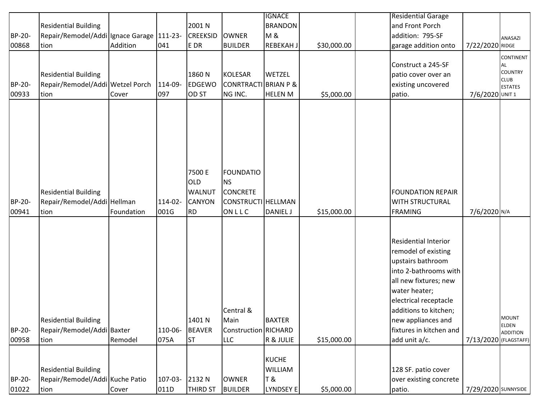|        |                                                           |            |         |                 |                                 | <b>IGNACE</b>    |             | <b>Residential Garage</b>                      |                       |                               |
|--------|-----------------------------------------------------------|------------|---------|-----------------|---------------------------------|------------------|-------------|------------------------------------------------|-----------------------|-------------------------------|
|        | <b>Residential Building</b>                               |            |         | 2001 N          |                                 | <b>BRANDON</b>   |             | and Front Porch                                |                       |                               |
| BP-20- | Repair/Remodel/Addi Ignace Garage 111-23-                 |            |         | <b>CREEKSID</b> | <b>OWNER</b>                    | <b>M&amp;</b>    |             | addition: 795-SF                               |                       | ANASAZI                       |
| 00868  | tion                                                      | Addition   | 041     | E DR            | <b>BUILDER</b>                  | <b>REBEKAH J</b> | \$30,000.00 | garage addition onto                           | 7/22/2020 RIDGE       |                               |
|        |                                                           |            |         |                 |                                 |                  |             |                                                |                       | CONTINENT                     |
|        |                                                           |            |         |                 |                                 |                  |             | Construct a 245-SF                             |                       | AL                            |
|        | <b>Residential Building</b>                               |            |         | 1860N           | <b>KOLESAR</b>                  | <b>WETZEL</b>    |             | patio cover over an                            |                       | <b>COUNTRY</b><br><b>CLUB</b> |
| BP-20- | Repair/Remodel/Addi Wetzel Porch                          |            | 114-09- | <b>EDGEWO</b>   | <b>CONRTRACTI BRIAN P &amp;</b> |                  |             | existing uncovered                             |                       | <b>ESTATES</b>                |
| 00933  | tion                                                      | Cover      | 097     | OD ST           | NG INC.                         | <b>HELEN M</b>   | \$5,000.00  | patio.                                         | 7/6/2020 UNIT 1       |                               |
|        |                                                           |            |         |                 |                                 |                  |             |                                                |                       |                               |
|        |                                                           |            |         |                 |                                 |                  |             |                                                |                       |                               |
|        |                                                           |            |         |                 |                                 |                  |             |                                                |                       |                               |
|        |                                                           |            |         |                 |                                 |                  |             |                                                |                       |                               |
|        |                                                           |            |         | 7500 E          | <b>FOUNDATIO</b>                |                  |             |                                                |                       |                               |
|        |                                                           |            |         | OLD             | <b>NS</b>                       |                  |             |                                                |                       |                               |
|        | <b>Residential Building</b>                               |            |         | <b>WALNUT</b>   | <b>CONCRETE</b>                 |                  |             | <b>FOUNDATION REPAIR</b>                       |                       |                               |
| BP-20- | Repair/Remodel/Addi Hellman                               |            | 114-02- | <b>CANYON</b>   | CONSTRUCTI HELLMAN              |                  |             | <b>WITH STRUCTURAL</b>                         |                       |                               |
| 00941  | tion                                                      | Foundation | 001G    | <b>RD</b>       | ONLLC                           | <b>DANIEL J</b>  | \$15,000.00 | <b>FRAMING</b>                                 | 7/6/2020 N/A          |                               |
|        |                                                           |            |         |                 |                                 |                  |             |                                                |                       |                               |
|        |                                                           |            |         |                 |                                 |                  |             |                                                |                       |                               |
|        |                                                           |            |         |                 |                                 |                  |             | <b>Residential Interior</b>                    |                       |                               |
|        |                                                           |            |         |                 |                                 |                  |             | remodel of existing                            |                       |                               |
|        |                                                           |            |         |                 |                                 |                  |             | upstairs bathroom                              |                       |                               |
|        |                                                           |            |         |                 |                                 |                  |             | into 2-bathrooms with                          |                       |                               |
|        |                                                           |            |         |                 |                                 |                  |             | all new fixtures; new                          |                       |                               |
|        |                                                           |            |         |                 |                                 |                  |             | water heater;                                  |                       |                               |
|        |                                                           |            |         |                 | Central &                       |                  |             | electrical receptacle<br>additions to kitchen; |                       |                               |
|        |                                                           |            |         | 1401 N          | Main                            | <b>BAXTER</b>    |             |                                                |                       | <b>MOUNT</b>                  |
| BP-20- | <b>Residential Building</b><br>Repair/Remodel/Addi Baxter |            | 110-06- | <b>BEAVER</b>   | <b>Construction RICHARD</b>     |                  |             | new appliances and<br>fixtures in kitchen and  |                       | ELDEN                         |
| 00958  | tion                                                      | Remodel    | 075A    | <b>ST</b>       | LLC                             | R & JULIE        | \$15,000.00 | add unit a/c.                                  | 7/13/2020 (FLAGSTAFF) | <b>ADDITION</b>               |
|        |                                                           |            |         |                 |                                 |                  |             |                                                |                       |                               |
|        |                                                           |            |         |                 |                                 | KUCHE            |             |                                                |                       |                               |
|        | <b>Residential Building</b>                               |            |         |                 |                                 | <b>WILLIAM</b>   |             | 128 SF. patio cover                            |                       |                               |
| BP-20- | Repair/Remodel/Addi Kuche Patio                           |            | 107-03- | 2132 N          | <b>OWNER</b>                    | T &              |             | over existing concrete                         |                       |                               |
| 01022  | tion                                                      | Cover      | 011D    | <b>THIRD ST</b> | <b>BUILDER</b>                  | LYNDSEY E        | \$5,000.00  | patio.                                         | 7/29/2020 SUNNYSIDE   |                               |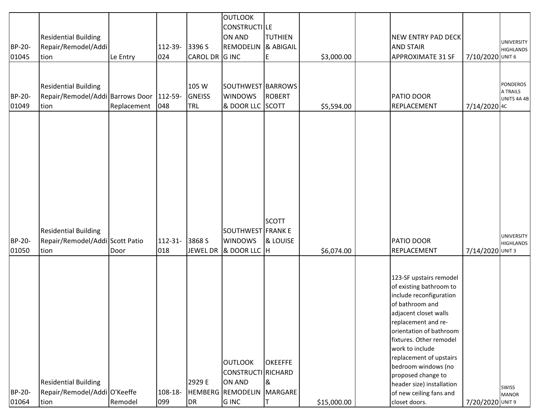| BP-20-<br>01045 | <b>Residential Building</b><br>Repair/Remodel/Addi<br>tion                      | Le Entry    | 112-39-<br>024 | 3396 S<br>CAROL DR G INC             | <b>OUTLOOK</b><br>CONSTRUCTILE<br>ON AND<br>REMODELIN & ABIGAIL                                   | <b>TUTHIEN</b><br>E       | \$3,000.00  | NEW ENTRY PAD DECK<br><b>AND STAIR</b><br><b>APPROXIMATE 31 SF</b>                                                                                                                                                                                                                                                                                                         | 7/10/2020 UNIT 6 | <b>UNIVERSITY</b><br><b>HIGHLANDS</b>      |
|-----------------|---------------------------------------------------------------------------------|-------------|----------------|--------------------------------------|---------------------------------------------------------------------------------------------------|---------------------------|-------------|----------------------------------------------------------------------------------------------------------------------------------------------------------------------------------------------------------------------------------------------------------------------------------------------------------------------------------------------------------------------------|------------------|--------------------------------------------|
| BP-20-<br>01049 | <b>Residential Building</b><br>Repair/Remodel/Addi Barrows Door 112-59-<br>tion | Replacement | 048            | 105 W<br><b>GNEISS</b><br><b>TRL</b> | SOUTHWEST BARROWS<br><b>WINDOWS</b><br>& DOOR LLC SCOTT                                           | <b>ROBERT</b>             | \$5,594.00  | PATIO DOOR<br>REPLACEMENT                                                                                                                                                                                                                                                                                                                                                  | 7/14/2020 4C     | <b>PONDEROS</b><br>A TRAILS<br>UNITS 4A 4B |
| BP-20-<br>01050 | <b>Residential Building</b><br>Repair/Remodel/Addi Scott Patio<br>tion          | Door        | 112-31-<br>018 | 3868 S<br><b>JEWEL DR</b>            | <b>SOUTHWEST FRANK E</b><br><b>WINDOWS</b><br>& DOOR LLC H                                        | <b>SCOTT</b><br>& LOUISE  | \$6,074.00  | PATIO DOOR<br>REPLACEMENT                                                                                                                                                                                                                                                                                                                                                  | 7/14/2020 UNIT 3 | <b>UNIVERSITY</b><br><b>HIGHLANDS</b>      |
| BP-20-<br>01064 | <b>Residential Building</b><br>Repair/Remodel/Addi O'Keeffe<br>tion             | Remodel     | 108-18-<br>099 | 2929 E<br>DR                         | <b>OUTLOOK</b><br>CONSTRUCTI RICHARD<br><b>ON AND</b><br>HEMBERG REMODELIN MARGARE<br><b>GINC</b> | <b>OKEEFFE</b><br>8<br>ΙT | \$15,000.00 | 123-SF upstairs remodel<br>of existing bathroom to<br>include reconfiguration<br>of bathroom and<br>adjacent closet walls<br>replacement and re-<br>orientation of bathroom<br>fixtures. Other remodel<br>work to include<br>replacement of upstairs<br>bedroom windows (no<br>proposed change to<br>header size) installation<br>of new ceiling fans and<br>closet doors. | 7/20/2020 UNIT 9 | SWISS<br><b>MANOR</b>                      |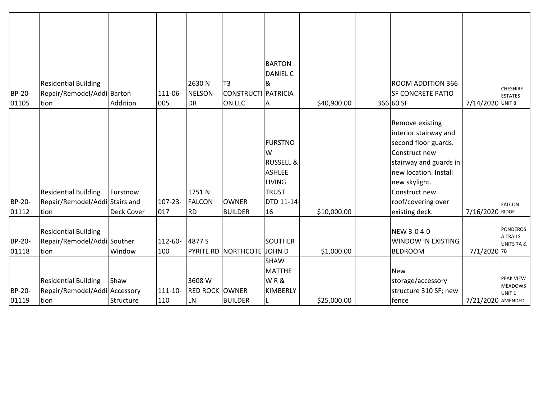| BP-20-<br>01105           | <b>Residential Building</b><br>Repair/Remodel/Addi Barton<br>tion                                                                  | Addition                      | 111-06-<br>005            | 2630N<br><b>NELSON</b><br><b>DR</b>       | T <sub>3</sub><br>CONSTRUCTI PATRICIA<br>ON LLC | <b>BARTON</b><br><b>DANIEL C</b><br>&<br>Α                                                                        | \$40,900.00 | <b>ROOM ADDITION 366</b><br><b>SF CONCRETE PATIO</b><br>366 60 SF                                                                                                                                                     | 7/14/2020 UNIT 8  | <b>CHESHIRE</b><br><b>ESTATES</b>                                                             |
|---------------------------|------------------------------------------------------------------------------------------------------------------------------------|-------------------------------|---------------------------|-------------------------------------------|-------------------------------------------------|-------------------------------------------------------------------------------------------------------------------|-------------|-----------------------------------------------------------------------------------------------------------------------------------------------------------------------------------------------------------------------|-------------------|-----------------------------------------------------------------------------------------------|
| BP-20-<br>01112           | <b>Residential Building</b><br>Repair/Remodel/Addi Stairs and<br>tion                                                              | Furstnow<br><b>Deck Cover</b> | $107 - 23 -$<br>017       | 1751N<br><b>FALCON</b><br><b>RD</b>       | <b>OWNER</b><br><b>BUILDER</b>                  | <b>FURSTNO</b><br>W<br><b>RUSSELL &amp;</b><br><b>ASHLEE</b><br><b>LIVING</b><br><b>TRUST</b><br>DTD 11-14-<br>16 | \$10,000.00 | <b>Remove existing</b><br>interior stairway and<br>second floor guards.<br>Construct new<br>stairway and guards in<br>new location. Install<br>new skylight.<br>Construct new<br>roof/covering over<br>existing deck. | 7/16/2020 RIDGE   | <b>FALCON</b>                                                                                 |
| BP-20-<br>01118<br>BP-20- | <b>Residential Building</b><br>Repair/Remodel/Addi Souther<br>tion<br><b>Residential Building</b><br>Repair/Remodel/Addi Accessory | Window<br>Shaw                | 112-60-<br>100<br>111-10- | 4877 S<br>3608 W<br><b>RED ROCK OWNER</b> | PYRITE RD NORTHCOTE JOHN D                      | <b>SOUTHER</b><br>SHAW<br><b>MATTHE</b><br>WR&<br><b>KIMBERLY</b>                                                 | \$1,000.00  | NEW 3-0 4-0<br><b>WINDOW IN EXISTING</b><br><b>BEDROOM</b><br><b>New</b><br>storage/accessory<br>structure 310 SF; new                                                                                                | 7/1/2020 7B       | <b>PONDEROS</b><br>A TRAILS<br>UNITS 7A &<br>PEAK VIEW<br><b>MEADOWS</b><br>UNIT <sub>1</sub> |
| 01119                     | tion                                                                                                                               | Structure                     | 110                       | <b>LN</b>                                 | <b>BUILDER</b>                                  |                                                                                                                   | \$25,000.00 | fence                                                                                                                                                                                                                 | 7/21/2020 AMENDED |                                                                                               |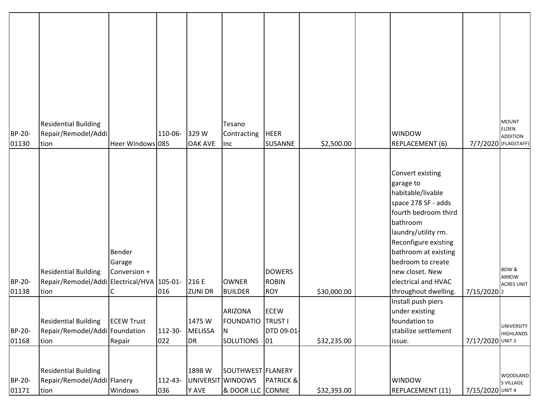| BP-20-<br>01130        | <b>Residential Building</b><br>Repair/Remodel/Addi<br>tion                        | Heer Windows 085                 | 110-06-             | 329W<br><b>OAK AVE</b>        | Tesano<br>Contracting<br>Inc                                         | <b>HEER</b><br>SUSANNE                      | \$2,500.00  | <b>WINDOW</b><br>REPLACEMENT (6)                                                                                                                                                                                                                                            |                  | <b>MOUNT</b><br>ELDEN<br><b>ADDITION</b><br>7/7/2020 (FLAGSTAFF) |
|------------------------|-----------------------------------------------------------------------------------|----------------------------------|---------------------|-------------------------------|----------------------------------------------------------------------|---------------------------------------------|-------------|-----------------------------------------------------------------------------------------------------------------------------------------------------------------------------------------------------------------------------------------------------------------------------|------------------|------------------------------------------------------------------|
| BP-20-<br>01138        | <b>Residential Building</b><br>Repair/Remodel/Addi Electrical/HVA 105-01-<br>tion | Bender<br>Garage<br>Conversion + | 016                 | 216 E<br><b>ZUNI DR</b>       | <b>OWNER</b><br><b>BUILDER</b>                                       | <b>DOWERS</b><br><b>ROBIN</b><br><b>ROY</b> | \$30,000.00 | Convert existing<br>garage to<br>habitable/livable<br>space 278 SF - adds<br>fourth bedroom third<br>bathroom<br>laundry/utility rm.<br>Reconfigure existing<br>bathroom at existing<br>bedroom to create<br>new closet. New<br>electrical and HVAC<br>throughout dwelling. | 7/15/2020 2      | BOW &<br><b>ARROW</b><br><b>ACRES UNIT</b>                       |
| BP-20-<br>01168        | <b>Residential Building</b><br>Repair/Remodel/Addi Foundation<br>tion             | <b>ECEW Trust</b><br>Repair      | 112-30-<br>022      | 1475W<br><b>MELISSA</b><br>DR | <b>ARIZONA</b><br><b>FOUNDATIO</b> TRUST I<br>N.<br><b>SOLUTIONS</b> | <b>ECEW</b><br>DTD 09-01-<br>01             | \$32,235.00 | Install push piers<br>under existing<br>foundation to<br>stabilize settlement<br>issue.                                                                                                                                                                                     | 7/17/2020 UNIT 3 | <b>UNIVERSITY</b><br><b>HIGHLANDS</b>                            |
| <b>BP-20-</b><br>01171 | <b>Residential Building</b><br>Repair/Remodel/Addi Flanery<br>tion                | Windows                          | $112 - 43 -$<br>036 | 1898 W<br>Y AVE               | SOUTHWEST FLANERY<br>UNIVERSIT WINDOWS<br>& DOOR LLC CONNIE          | <b>PATRICK &amp;</b>                        | \$32,393.00 | <b>WINDOW</b><br>REPLACEMENT (11)                                                                                                                                                                                                                                           | 7/15/2020 UNIT 4 | <b>WOODLAND</b><br>S VILLAGE                                     |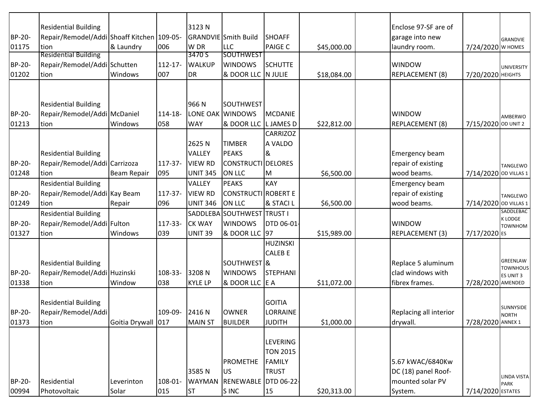|               | <b>Residential Building</b>                |                    |                | 3123N           |                                |                     |             | Enclose 97-SF are of   |                       |                              |
|---------------|--------------------------------------------|--------------------|----------------|-----------------|--------------------------------|---------------------|-------------|------------------------|-----------------------|------------------------------|
| BP-20-        | Repair/Remodel/Addi Shoaff Kitchen 109-05- |                    |                |                 | <b>GRANDVIE</b> Smith Build    | <b>SHOAFF</b>       |             | garage into new        |                       | GRANDVIE                     |
| 01175         | tion<br><b>Residential Building</b>        | & Laundry          | 006            | W DR<br>3470 S  | <b>LLC</b><br><b>SOUTHWEST</b> | <b>PAIGE C</b>      | \$45,000.00 | laundry room.          | 7/24/2020 W HOMES     |                              |
| <b>BP-20-</b> | Repair/Remodel/Addi Schutten               |                    | $112 - 17$     | <b>WALKUP</b>   | <b>WINDOWS</b>                 | <b>SCHUTTE</b>      |             | <b>WINDOW</b>          |                       |                              |
| 01202         | tion                                       | Windows            | 007            | DR              | & DOOR LLC N JULIE             |                     | \$18,084.00 | REPLACEMENT (8)        | 7/20/2020 НЕІGНТS     | <b>UNIVERSITY</b>            |
|               |                                            |                    |                |                 |                                |                     |             |                        |                       |                              |
|               |                                            |                    |                |                 |                                |                     |             |                        |                       |                              |
|               | <b>Residential Building</b>                |                    |                | 966N            | <b>SOUTHWEST</b>               |                     |             |                        |                       |                              |
| <b>BP-20-</b> | Repair/Remodel/Addi McDaniel               |                    | 114-18-        |                 | LONE OAK WINDOWS               | MCDANIE             |             | <b>WINDOW</b>          |                       | AMBERWO                      |
| 01213         | tion                                       | Windows            | 058            | <b>WAY</b>      | & DOOR LLC                     | L JAMES D           | \$22,812.00 | REPLACEMENT (8)        | 7/15/2020 OD UNIT 2   |                              |
|               |                                            |                    |                |                 |                                | <b>CARRIZOZ</b>     |             |                        |                       |                              |
|               |                                            |                    |                | 2625N           | <b>TIMBER</b>                  | A VALDO             |             |                        |                       |                              |
|               | <b>Residential Building</b>                |                    |                | VALLEY          | <b>PEAKS</b>                   | &                   |             | Emergency beam         |                       |                              |
| <b>BP-20-</b> | Repair/Remodel/Addi Carrizoza              |                    | 117-37-        | <b>VIEW RD</b>  | CONSTRUCTI DELORES             |                     |             | repair of existing     |                       | TANGLEWO                     |
| 01248         | tion                                       | <b>Beam Repair</b> | 095            | <b>UNIT 345</b> | <b>ON LLC</b>                  | M                   | \$6,500.00  | wood beams.            | 7/14/2020 OD VILLAS 1 |                              |
|               | <b>Residential Building</b>                |                    |                | VALLEY          | <b>PEAKS</b>                   | <b>KAY</b>          |             | Emergency beam         |                       |                              |
| BP-20-        | Repair/Remodel/Addi Kay Beam               |                    | 117-37-        | <b>VIEW RD</b>  | CONSTRUCTI ROBERT E            |                     |             | repair of existing     |                       | TANGLEWO                     |
| 01249         | tion                                       | Repair             | 096            | <b>UNIT 346</b> | <b>ON LLC</b>                  | <b>&amp; STACIL</b> | \$6,500.00  | wood beams.            | 7/14/2020 OD VILLAS 1 |                              |
|               | <b>Residential Building</b>                |                    |                | SADDLEBA        | SOUTHWEST                      | <b>TRUST I</b>      |             |                        |                       | SADDLEBAC                    |
| BP-20-        | Repair/Remodel/Addi Fulton                 |                    | 117-33-        | <b>CK WAY</b>   | <b>WINDOWS</b>                 | DTD 06-01-          |             | <b>WINDOW</b>          |                       | K LODGE<br><b>TOWNHOM</b>    |
| 01327         | tion                                       | Windows            | 039            | <b>UNIT 39</b>  | & DOOR LLC 97                  |                     | \$15,989.00 | REPLACEMENT (3)        | 7/17/2020 ES          |                              |
|               |                                            |                    |                |                 |                                | <b>HUZINSKI</b>     |             |                        |                       |                              |
|               |                                            |                    |                |                 |                                | <b>CALEB E</b>      |             |                        |                       |                              |
|               | <b>Residential Building</b>                |                    |                |                 | SOUTHWEST <sup>8</sup>         |                     |             | Replace 5 aluminum     |                       | GREENLAW                     |
| BP-20-        | Repair/Remodel/Addi Huzinski               |                    | 108-33-        | 3208N           | <b>WINDOWS</b>                 | <b>STEPHANI</b>     |             | clad windows with      |                       | <b>TOWNHOUS</b><br>ES UNIT 3 |
| 01338         | tion                                       | Window             | 038            | <b>KYLE LP</b>  | & DOOR LLC E A                 |                     | \$11,072.00 | fibrex frames.         | 7/28/2020 AMENDED     |                              |
|               |                                            |                    |                |                 |                                |                     |             |                        |                       |                              |
|               | <b>Residential Building</b>                |                    |                |                 |                                | <b>GOITIA</b>       |             |                        |                       | SUNNYSIDE                    |
| <b>BP-20-</b> | Repair/Remodel/Addi                        |                    | 109-09- 2416 N |                 | <b>OWNER</b>                   | LORRAINE            |             | Replacing all interior |                       | <b>NORTH</b>                 |
| 01373         | tion                                       | Goitia Drywall 017 |                | <b>MAIN ST</b>  | <b>BUILDER</b>                 | <b>JUDITH</b>       | \$1,000.00  | drywall.               | 7/28/2020 ANNEX 1     |                              |
|               |                                            |                    |                |                 |                                |                     |             |                        |                       |                              |
|               |                                            |                    |                |                 |                                | <b>LEVERING</b>     |             |                        |                       |                              |
|               |                                            |                    |                |                 |                                | <b>TON 2015</b>     |             |                        |                       |                              |
|               |                                            |                    |                |                 | <b>PROMETHE</b>                | FAMILY              |             | 5.67 kWAC/6840Kw       |                       |                              |
|               |                                            |                    |                | 3585N           | <b>US</b>                      | <b>TRUST</b>        |             | DC (18) panel Roof-    |                       | LINDA VISTA                  |
| BP-20-        | Residential                                | Leverinton         | 108-01-        | <b>WAYMAN</b>   | RENEWABLE DTD 06-22-           |                     |             | mounted solar PV       |                       | <b>PARK</b>                  |
| 00994         | Photovoltaic                               | Solar              | 015            | <b>ST</b>       | S INC                          | 15                  | \$20,313.00 | System.                | 7/14/2020 ESTATES     |                              |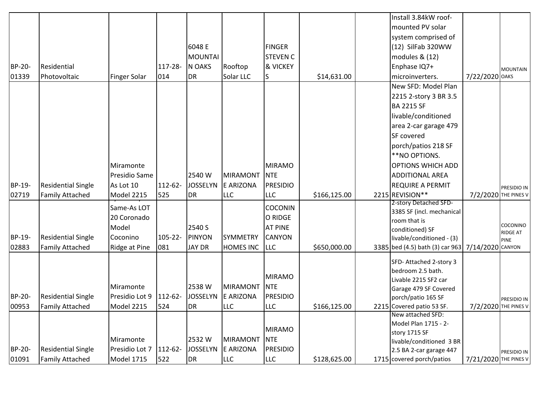|               |                           |                     |         |                 |                  |                 |              | Install 3.84kW roof-                             |                       |                 |
|---------------|---------------------------|---------------------|---------|-----------------|------------------|-----------------|--------------|--------------------------------------------------|-----------------------|-----------------|
|               |                           |                     |         |                 |                  |                 |              | mounted PV solar                                 |                       |                 |
|               |                           |                     |         |                 |                  |                 |              | system comprised of                              |                       |                 |
|               |                           |                     |         | 6048 E          |                  | <b>FINGER</b>   |              | (12) SilFab 320WW                                |                       |                 |
|               |                           |                     |         | <b>MOUNTAI</b>  |                  | <b>STEVEN C</b> |              | modules & (12)                                   |                       |                 |
| BP-20-        | Residential               |                     | 117-28- | N OAKS          | Rooftop          | & VICKEY        |              | Enphase IQ7+                                     |                       | <b>MOUNTAIN</b> |
| 01339         | Photovoltaic              | <b>Finger Solar</b> | 014     | <b>DR</b>       | Solar LLC        | S               | \$14,631.00  | microinverters.                                  | 7/22/2020 OAKS        |                 |
|               |                           |                     |         |                 |                  |                 |              | New SFD: Model Plan                              |                       |                 |
|               |                           |                     |         |                 |                  |                 |              | 2215 2-story 3 BR 3.5                            |                       |                 |
|               |                           |                     |         |                 |                  |                 |              | <b>BA 2215 SF</b>                                |                       |                 |
|               |                           |                     |         |                 |                  |                 |              | livable/conditioned                              |                       |                 |
|               |                           |                     |         |                 |                  |                 |              | area 2-car garage 479                            |                       |                 |
|               |                           |                     |         |                 |                  |                 |              | SF covered                                       |                       |                 |
|               |                           |                     |         |                 |                  |                 |              | porch/patios 218 SF                              |                       |                 |
|               |                           |                     |         |                 |                  |                 |              | **NO OPTIONS.                                    |                       |                 |
|               |                           | Miramonte           |         |                 |                  | <b>MIRAMO</b>   |              | <b>OPTIONS WHICH ADD</b>                         |                       |                 |
|               |                           | Presidio Same       |         | 2540 W          | <b>MIRAMONT</b>  | NTE             |              | ADDITIONAL AREA                                  |                       |                 |
| BP-19-        | <b>Residential Single</b> | As Lot 10           | 112-62- | <b>JOSSELYN</b> | E ARIZONA        | <b>PRESIDIO</b> |              | <b>REQUIRE A PERMIT</b>                          |                       | PRESIDIO IN     |
| 02719         | <b>Family Attached</b>    | Model 2215          | 525     | <b>DR</b>       | <b>LLC</b>       | <b>LLC</b>      | \$166,125.00 | 2215 REVISION**                                  | 7/2/2020 THE PINES V  |                 |
|               |                           | Same-As LOT         |         |                 |                  | <b>COCONIN</b>  |              | 2-story Detached SFD-                            |                       |                 |
|               |                           | 20 Coronado         |         |                 |                  | O RIDGE         |              | 3385 SF (incl. mechanical                        |                       |                 |
|               |                           | Model               |         | 2540 S          |                  | <b>AT PINE</b>  |              | room that is                                     |                       | COCONINO        |
| BP-19-        | <b>Residential Single</b> | Coconino            | 105-22- | <b>PINYON</b>   | <b>SYMMETRY</b>  | <b>CANYON</b>   |              | conditioned) SF                                  |                       | RIDGE AT        |
| 02883         | <b>Family Attached</b>    |                     | 081     | <b>JAY DR</b>   | <b>HOMES INC</b> | <b>LLC</b>      |              | livable/conditioned - (3)                        |                       | <b>PINE</b>     |
|               |                           | Ridge at Pine       |         |                 |                  |                 | \$650,000.00 | 3385 bed (4.5) bath (3) car 963 7/14/2020 CANYON |                       |                 |
|               |                           |                     |         |                 |                  |                 |              | SFD-Attached 2-story 3                           |                       |                 |
|               |                           |                     |         |                 |                  | <b>MIRAMO</b>   |              | bedroom 2.5 bath.                                |                       |                 |
|               |                           |                     |         | 2538 W          |                  |                 |              | Livable 2215 SF2 car                             |                       |                 |
|               |                           | Miramonte           |         |                 | <b>MIRAMONT</b>  | <b>NTE</b>      |              | Garage 479 SF Covered                            |                       |                 |
| <b>BP-20-</b> | <b>Residential Single</b> | Presidio Lot 9      | 112-62- | <b>JOSSELYN</b> | <b>E ARIZONA</b> | <b>PRESIDIO</b> |              | porch/patio 165 SF                               |                       | PRESIDIO IN     |
| 00953         | <b>Family Attached</b>    | Model 2215          | 524     | DR              | <b>LLC</b>       | <b>LLC</b>      | \$166,125.00 | 2215 Covered patio 53 SF.<br>New attached SFD:   | 7/2/2020 THE PINES V  |                 |
|               |                           |                     |         |                 |                  |                 |              | Model Plan 1715 - 2-                             |                       |                 |
|               |                           |                     |         |                 |                  | <b>MIRAMO</b>   |              | story 1715 SF                                    |                       |                 |
|               |                           | Miramonte           |         | 2532W           | <b>MIRAMONT</b>  | NTE             |              | livable/conditioned 3 BR                         |                       |                 |
| BP-20-        | <b>Residential Single</b> | Presidio Lot 7      | 112-62- | <b>JOSSELYN</b> | E ARIZONA        | <b>PRESIDIO</b> |              | 2.5 BA 2-car garage 447                          |                       | PRESIDIO IN     |
| 01091         | <b>Family Attached</b>    | <b>Model 1715</b>   | 522     | <b>DR</b>       | <b>LLC</b>       | <b>LLC</b>      | \$128,625.00 | 1715 covered porch/patios                        | 7/21/2020 THE PINES V |                 |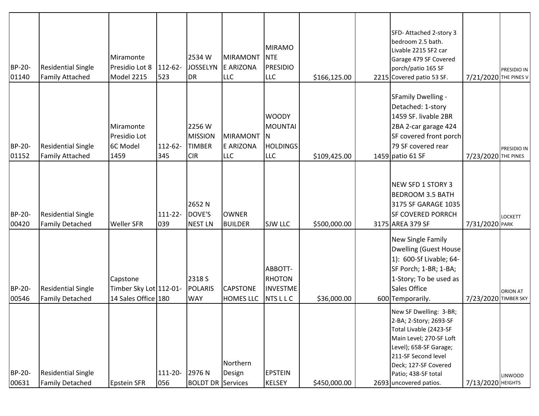| <b>BP-20-</b><br>01140 | <b>Residential Single</b><br><b>Family Attached</b> | Miramonte<br>Presidio Lot 8<br>Model 2215                 | 112-62-<br>523 | 2534W<br><b>JOSSELYN</b><br><b>DR</b>                   | <b>MIRAMONT</b><br><b>E ARIZONA</b><br><b>LLC</b> | <b>MIRAMO</b><br><b>NTE</b><br><b>PRESIDIO</b><br><b>LLC</b>    | \$166,125.00 | SFD-Attached 2-story 3<br>bedroom 2.5 bath.<br>Livable 2215 SF2 car<br>Garage 479 SF Covered<br>porch/patio 165 SF<br>2215 Covered patio 53 SF.                                                                                 | 7/21/2020 THE PINES V | PRESIDIO IN     |
|------------------------|-----------------------------------------------------|-----------------------------------------------------------|----------------|---------------------------------------------------------|---------------------------------------------------|-----------------------------------------------------------------|--------------|---------------------------------------------------------------------------------------------------------------------------------------------------------------------------------------------------------------------------------|-----------------------|-----------------|
| BP-20-<br>01152        | <b>Residential Single</b><br><b>Family Attached</b> | Miramonte<br>Presidio Lot<br>6C Model<br>1459             | 112-62-<br>345 | 2256 W<br><b>MISSION</b><br><b>TIMBER</b><br><b>CIR</b> | <b>MIRAMONT</b><br>E ARIZONA<br><b>LLC</b>        | <b>WOODY</b><br>MOUNTAI<br>IN.<br><b>HOLDINGS</b><br><b>LLC</b> | \$109,425.00 | SFamily Dwelling -<br>Detached: 1-story<br>1459 SF. livable 2BR<br>2BA 2-car garage 424<br>SF covered front porch<br>79 SF covered rear<br>1459 patio 61 SF                                                                     | 7/23/2020 THE PINES   | PRESIDIO IN     |
| BP-20-<br>00420        | <b>Residential Single</b><br><b>Family Detached</b> | <b>Weller SFR</b>                                         | 111-22-<br>039 | 2652 N<br>DOVE'S<br><b>NEST LN</b>                      | <b>OWNER</b><br><b>BUILDER</b>                    | <b>SJW LLC</b>                                                  | \$500,000.00 | NEW SFD 1 STORY 3<br><b>BEDROOM 3.5 BATH</b><br>3175 SF GARAGE 1035<br><b>SF COVERED PORRCH</b><br>3175 AREA 379 SF                                                                                                             | 7/31/2020 PARK        | <b>LOCKETT</b>  |
| <b>BP-20-</b><br>00546 | <b>Residential Single</b><br><b>Family Detached</b> | Capstone<br>Timber Sky Lot 112-01-<br>14 Sales Office 180 |                | 2318 S<br><b>POLARIS</b><br><b>WAY</b>                  | <b>CAPSTONE</b><br><b>HOMES LLC</b>               | ABBOTT-<br><b>RHOTON</b><br><b>INVESTME</b><br><b>NTSLLC</b>    | \$36,000.00  | New Single Family<br><b>Dwelling (Guest House</b><br>1): 600-Sf Livable; 64-<br>SF Porch; 1-BR; 1-BA;<br>1-Story; To be used as<br>Sales Office<br>600 Temporarily.                                                             | 7/23/2020 TIMBER SKY  | <b>ORION AT</b> |
| BP-20-<br>00631        | <b>Residential Single</b><br><b>Family Detached</b> | Epstein SFR                                               | 111-20-<br>056 | 2976N<br><b>BOLDT DR Services</b>                       | Northern<br>Design                                | <b>EPSTEIN</b><br>KELSEY                                        | \$450,000.00 | New SF Dwelling: 3-BR;<br>2-BA; 2-Story; 2693-SF<br>Total Livable (2423-SF<br>Main Level; 270-SF Loft<br>Level); 658-SF Garage;<br>211-SF Second level<br>Deck; 127-SF Covered<br>Patio; 438-SF total<br>2693 uncovered patios. | 7/13/2020 HEIGHTS     | <b>LINWOOD</b>  |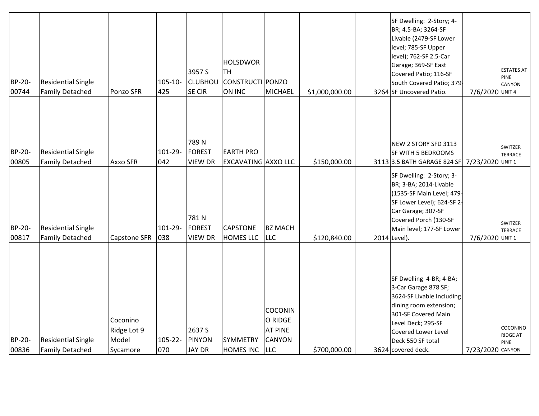| BP-20-<br>00744 | <b>Residential Single</b><br><b>Family Detached</b> | Ponzo SFR                                    | 105-10-<br>425 | 3957 S<br><b>CLUBHOU</b><br><b>SE CIR</b> | <b>HOLSDWOR</b><br><b>TH</b><br>CONSTRUCTI PONZO<br>ON INC | <b>MICHAEL</b>                                                             | \$1,000,000.00 | SF Dwelling: 2-Story; 4-<br>BR; 4.5-BA; 3264-SF<br>Livable (2479-SF Lower<br>level; 785-SF Upper<br>level); 762-SF 2.5-Car<br>Garage; 369-SF East<br>Covered Patio; 116-SF<br>South Covered Patio; 379<br>3264 SF Uncovered Patio. | 7/6/2020 UNIT 4  | <b>ESTATES AT</b><br><b>PINE</b><br>CANYON |
|-----------------|-----------------------------------------------------|----------------------------------------------|----------------|-------------------------------------------|------------------------------------------------------------|----------------------------------------------------------------------------|----------------|------------------------------------------------------------------------------------------------------------------------------------------------------------------------------------------------------------------------------------|------------------|--------------------------------------------|
| BP-20-<br>00805 | <b>Residential Single</b><br><b>Family Detached</b> | Axxo SFR                                     | 101-29-<br>042 | 789N<br><b>FOREST</b><br><b>VIEW DR</b>   | <b>EARTH PRO</b><br><b>EXCAVATING AXXO LLC</b>             |                                                                            | \$150,000.00   | NEW 2 STORY SFD 3113<br>SF WITH 5 BEDROOMS<br>3113 3.5 BATH GARAGE 824 SF                                                                                                                                                          | 7/23/2020 UNIT 1 | SWITZER<br><b>TERRACE</b>                  |
| BP-20-<br>00817 | <b>Residential Single</b><br><b>Family Detached</b> | <b>Capstone SFR</b>                          | 101-29-<br>038 | 781N<br><b>FOREST</b><br><b>VIEW DR</b>   | <b>CAPSTONE</b><br><b>HOMES LLC</b>                        | <b>BZ MACH</b><br><b>LLC</b>                                               | \$120,840.00   | SF Dwelling: 2-Story; 3-<br>BR; 3-BA; 2014-Livable<br>(1535-SF Main Level; 479-<br>SF Lower Level); 624-SF 2-<br>Car Garage; 307-SF<br>Covered Porch (130-SF<br>Main level; 177-SF Lower<br>2014 Level).                           | 7/6/2020 UNIT 1  | SWITZER<br><b>TERRACE</b>                  |
| BP-20-<br>00836 | <b>Residential Single</b><br><b>Family Detached</b> | Coconino<br>Ridge Lot 9<br>Model<br>Sycamore | 105-22-<br>070 | 2637 S<br><b>PINYON</b><br><b>JAY DR</b>  | SYMMETRY<br>HOMES INC                                      | <b>COCONIN</b><br>O RIDGE<br><b>AT PINE</b><br><b>CANYON</b><br><b>LLC</b> | \$700,000.00   | SF Dwelling 4-BR; 4-BA;<br>3-Car Garage 878 SF;<br>3624-SF Livable Including<br>dining room extension;<br>301-SF Covered Main<br>Level Deck; 295-SF<br><b>Covered Lower Level</b><br>Deck 550 SF total<br>3624 covered deck.       | 7/23/2020 CANYON | COCONINO<br><b>RIDGE AT</b><br><b>PINE</b> |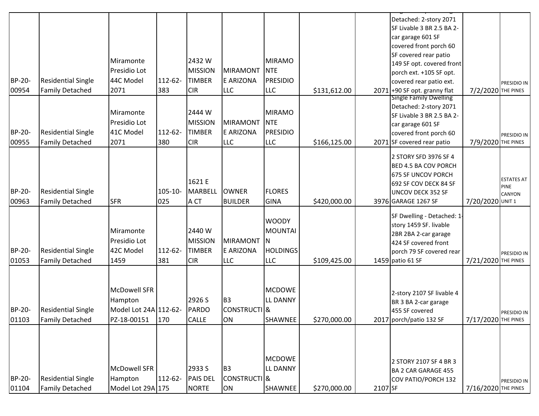|        |                           |                       |              |                 |                         |                 |              |         | Detached: 2-story 2071                                          |                     |                              |
|--------|---------------------------|-----------------------|--------------|-----------------|-------------------------|-----------------|--------------|---------|-----------------------------------------------------------------|---------------------|------------------------------|
|        |                           |                       |              |                 |                         |                 |              |         | SF Livable 3 BR 2.5 BA 2-                                       |                     |                              |
|        |                           |                       |              |                 |                         |                 |              |         | car garage 601 SF                                               |                     |                              |
|        |                           |                       |              |                 |                         |                 |              |         | covered front porch 60                                          |                     |                              |
|        |                           | Miramonte             |              | 2432W           |                         | MIRAMO          |              |         | SF covered rear patio                                           |                     |                              |
|        |                           |                       |              |                 |                         |                 |              |         | 149 SF opt. covered front                                       |                     |                              |
|        |                           | Presidio Lot          |              | <b>MISSION</b>  | <b>MIRAMONT</b>         | <b>NTE</b>      |              |         | porch ext. +105 SF opt.                                         |                     |                              |
| BP-20- | <b>Residential Single</b> | 44C Model             | 112-62-      | <b>TIMBER</b>   | E ARIZONA               | PRESIDIO        |              |         | covered rear patio ext.                                         |                     | PRESIDIO IN                  |
| 00954  | <b>Family Detached</b>    | 2071                  | 383          | <b>CIR</b>      | <b>LLC</b>              | <b>LLC</b>      | \$131,612.00 |         | $2071$ +90 SF opt. granny flat<br><b>Single Family Dwelling</b> | 7/2/2020 THE PINES  |                              |
|        |                           |                       |              |                 |                         |                 |              |         | Detached: 2-story 2071                                          |                     |                              |
|        |                           | Miramonte             |              | 2444 W          |                         | MIRAMO          |              |         | SF Livable 3 BR 2.5 BA 2-                                       |                     |                              |
|        |                           | Presidio Lot          |              | <b>MISSION</b>  | <b>MIRAMONT</b>         | <b>NTE</b>      |              |         | car garage 601 SF                                               |                     |                              |
| BP-20- | <b>Residential Single</b> | 41C Model             | 112-62-      | <b>TIMBER</b>   | E ARIZONA               | <b>PRESIDIO</b> |              |         | covered front porch 60                                          |                     | PRESIDIO IN                  |
| 00955  | <b>Family Detached</b>    | 2071                  | 380          | <b>CIR</b>      | <b>LLC</b>              | <b>LLC</b>      | \$166,125.00 |         | 2071 SF covered rear patio                                      | 7/9/2020 THE PINES  |                              |
|        |                           |                       |              |                 |                         |                 |              |         |                                                                 |                     |                              |
|        |                           |                       |              |                 |                         |                 |              |         | 2 STORY SFD 3976 SF 4<br><b>BED 4.5 BA COV PORCH</b>            |                     |                              |
|        |                           |                       |              |                 |                         |                 |              |         | 675 SF UNCOV PORCH                                              |                     |                              |
|        |                           |                       |              | 1621 E          |                         |                 |              |         | 692 SF COV DECK 84 SF                                           |                     | <b>ESTATES AT</b>            |
| BP-20- | <b>Residential Single</b> |                       | $105 - 10 -$ | <b>MARBELL</b>  | <b>OWNER</b>            | <b>FLORES</b>   |              |         | <b>UNCOV DECK 352 SF</b>                                        |                     | <b>PINE</b><br><b>CANYON</b> |
| 00963  | <b>Family Detached</b>    | <b>SFR</b>            | 025          | A CT            | <b>BUILDER</b>          | GINA            | \$420,000.00 |         | 3976 GARAGE 1267 SF                                             | 7/20/2020 UNIT 1    |                              |
|        |                           |                       |              |                 |                         |                 |              |         |                                                                 |                     |                              |
|        |                           |                       |              |                 |                         | <b>WOODY</b>    |              |         | SF Dwelling - Detached: 1-                                      |                     |                              |
|        |                           | Miramonte             |              | 2440 W          |                         | MOUNTAI         |              |         | story 1459 SF. livable                                          |                     |                              |
|        |                           | Presidio Lot          |              | <b>MISSION</b>  | <b>MIRAMONT</b>         | IN.             |              |         | 2BR 2BA 2-car garage<br>424 SF covered front                    |                     |                              |
| BP-20- | <b>Residential Single</b> | 42C Model             | 112-62-      | <b>TIMBER</b>   | E ARIZONA               | <b>HOLDINGS</b> |              |         | porch 79 SF covered rear                                        |                     |                              |
| 01053  | <b>Family Detached</b>    | 1459                  | 381          | <b>CIR</b>      | <b>LLC</b>              | <b>LLC</b>      | \$109,425.00 |         | 1459 patio 61 SF                                                | 7/21/2020 THE PINES | PRESIDIO IN                  |
|        |                           |                       |              |                 |                         |                 |              |         |                                                                 |                     |                              |
|        |                           |                       |              |                 |                         |                 |              |         |                                                                 |                     |                              |
|        |                           | <b>McDowell SFR</b>   |              |                 |                         | <b>MCDOWE</b>   |              |         |                                                                 |                     |                              |
|        |                           | Hampton               |              | 2926 S          | B <sub>3</sub>          | <b>LL DANNY</b> |              |         | 2-story 2107 SF livable 4<br>BR 3 BA 2-car garage               |                     |                              |
| BP-20- | <b>Residential Single</b> | Model Lot 24A 112-62- |              | PARDO           | CONSTRUCTI <sup>8</sup> |                 |              |         | 455 SF covered                                                  |                     |                              |
| 01103  | <b>Family Detached</b>    | PZ-18-00151           | 170          | <b>CALLE</b>    | ON                      | <b>SHAWNEE</b>  | \$270,000.00 |         | 2017 porch/patio 132 SF                                         | 7/17/2020 THE PINES | PRESIDIO IN                  |
|        |                           |                       |              |                 |                         |                 |              |         |                                                                 |                     |                              |
|        |                           |                       |              |                 |                         |                 |              |         |                                                                 |                     |                              |
|        |                           |                       |              |                 |                         |                 |              |         |                                                                 |                     |                              |
|        |                           |                       |              |                 |                         | <b>MCDOWE</b>   |              |         | 2 STORY 2107 SF 4 BR 3                                          |                     |                              |
|        |                           | <b>McDowell SFR</b>   |              | 2933 S          | B <sub>3</sub>          | <b>LL DANNY</b> |              |         | <b>BA 2 CAR GARAGE 455</b>                                      |                     |                              |
| BP-20- | <b>Residential Single</b> | Hampton               | 112-62-      | <b>PAIS DEL</b> | CONSTRUCTI <sup>8</sup> |                 |              |         | COV PATIO/PORCH 132                                             |                     | PRESIDIO IN                  |
| 01104  | <b>Family Detached</b>    | Model Lot 29A 175     |              | <b>NORTE</b>    | ON                      | SHAWNEE         | \$270,000.00 | 2107 SF |                                                                 | 7/16/2020 THE PINES |                              |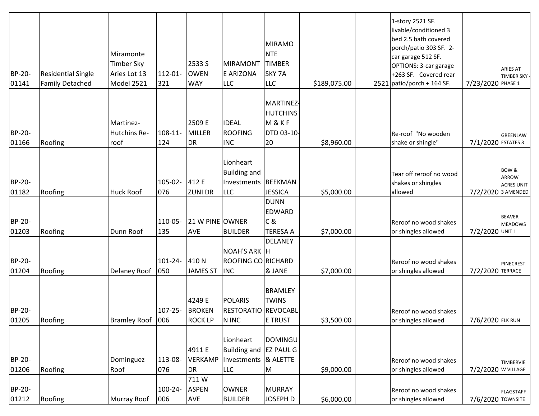| BP-20-<br>01141 | <b>Residential Single</b><br><b>Family Detached</b> | Miramonte<br><b>Timber Sky</b><br>Aries Lot 13<br>Model 2521 | 112-01-<br>321      | 2533 S<br><b>OWEN</b><br><b>WAY</b>       | <b>MIRAMONT</b><br>E ARIZONA<br><b>LLC</b>                                | MIRAMO<br><b>NTE</b><br><b>TIMBER</b><br>SKY <sub>7A</sub><br><b>LLC</b> | \$189,075.00 | 1-story 2521 SF.<br>livable/conditioned 3<br>bed 2.5 bath covered<br>porch/patio 303 SF. 2-<br>car garage 512 SF.<br>OPTIONS: 3-car garage<br>+263 SF. Covered rear<br>$2521$ patio/porch + 164 SF. | 7/23/2020 PHASE 1  | <b>ARIES AT</b><br>TIMBER SKY -                                             |
|-----------------|-----------------------------------------------------|--------------------------------------------------------------|---------------------|-------------------------------------------|---------------------------------------------------------------------------|--------------------------------------------------------------------------|--------------|-----------------------------------------------------------------------------------------------------------------------------------------------------------------------------------------------------|--------------------|-----------------------------------------------------------------------------|
| BP-20-<br>01166 | Roofing                                             | Martinez-<br>Hutchins Re-<br>roof                            | $108 - 11 -$<br>124 | 2509 E<br><b>MILLER</b><br><b>DR</b>      | <b>IDEAL</b><br><b>ROOFING</b><br><b>INC</b>                              | MARTINEZ<br><b>HUTCHINS</b><br>M&KF<br>DTD 03-10-<br>20                  | \$8,960.00   | Re-roof "No wooden<br>shake or shingle"                                                                                                                                                             | 7/1/2020 ESTATES 3 | GREENLAW                                                                    |
| BP-20-<br>01182 | Roofing                                             | <b>Huck Roof</b>                                             | 105-02-<br>076      | 412 E<br><b>ZUNI DR</b>                   | Lionheart<br><b>Building and</b><br>Investments BEEKMAN<br><b>LLC</b>     | <b>JESSICA</b>                                                           | \$5,000.00   | Tear off reroof no wood<br>shakes or shingles<br>allowed                                                                                                                                            |                    | <b>BOW &amp;</b><br><b>ARROW</b><br><b>ACRES UNIT</b><br>7/2/2020 3 AMENDED |
| BP-20-<br>01203 | Roofing                                             | Dunn Roof                                                    | 110-05-<br>135      | 21 W PINE OWNER<br><b>AVE</b>             | <b>BUILDER</b>                                                            | DUNN<br>EDWARD<br>lc &<br><b>TERESA A</b>                                | \$7,000.00   | Reroof no wood shakes<br>or shingles allowed                                                                                                                                                        | 7/2/2020 UNIT 1    | <b>BEAVER</b><br><b>MEADOWS</b>                                             |
| BP-20-<br>01204 | Roofing                                             | Delaney Roof                                                 | $101 - 24 -$<br>050 | 410N<br><b>JAMES ST</b>                   | NOAH'S ARK H<br>ROOFING CO RICHARD<br><b>INC</b>                          | DELANEY<br><b>&amp; JANE</b>                                             | \$7,000.00   | Reroof no wood shakes<br>or shingles allowed                                                                                                                                                        | 7/2/2020 TERRACE   | PINECREST                                                                   |
| BP-20-<br>01205 | Roofing                                             | <b>Bramley Roof</b>                                          | $107 - 25 -$<br>006 | 4249 E<br><b>BROKEN</b><br><b>ROCK LP</b> | <b>POLARIS</b><br>RESTORATIO REVOCABL<br>N INC                            | <b>BRAMLEY</b><br><b>TWINS</b><br>E TRUST                                | \$3,500.00   | Reroof no wood shakes<br>or shingles allowed                                                                                                                                                        | 7/6/2020 ELK RUN   |                                                                             |
| BP-20-<br>01206 | Roofing                                             | Dominguez<br>Roof                                            | 113-08-<br>076      | 4911 E<br><b>VERKAMP</b><br><b>DR</b>     | Lionheart<br>Building and EZ PAUL G<br>Investments & ALETTE<br><b>LLC</b> | DOMINGU<br>M                                                             | \$9,000.00   | Reroof no wood shakes<br>or shingles allowed                                                                                                                                                        | 7/2/2020 W VILLAGE | TIMBERVIE                                                                   |
| BP-20-<br>01212 | Roofing                                             | <b>Murray Roof</b>                                           | 100-24-<br>006      | 711W<br><b>ASPEN</b><br><b>AVE</b>        | <b>OWNER</b><br><b>BUILDER</b>                                            | MURRAY<br>JOSEPH D                                                       | \$6,000.00   | Reroof no wood shakes<br>or shingles allowed                                                                                                                                                        | 7/6/2020 TOWNSITE  | <b>FLAGSTAFF</b>                                                            |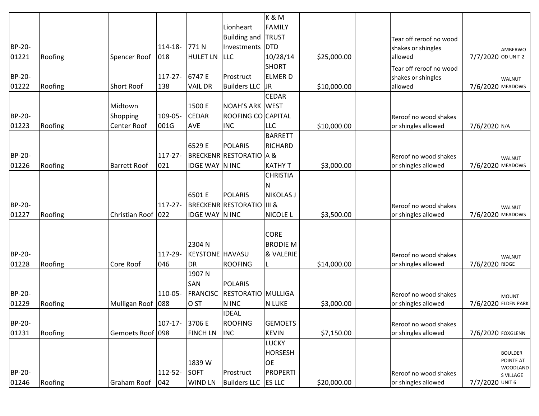|        |         |                     |              |                        |                                      | K&M              |             |                         |                    |                     |
|--------|---------|---------------------|--------------|------------------------|--------------------------------------|------------------|-------------|-------------------------|--------------------|---------------------|
|        |         |                     |              |                        | Lionheart                            | <b>FAMILY</b>    |             |                         |                    |                     |
|        |         |                     |              |                        | <b>Building and</b>                  | <b>TRUST</b>     |             | Tear off reroof no wood |                    |                     |
| BP-20- |         |                     | 114-18-      | 771N                   | Investments DTD                      |                  |             | shakes or shingles      |                    | AMBERWO             |
| 01221  | Roofing | Spencer Roof        | 018          | <b>HULET LN</b>        | <b>LLC</b>                           | 10/28/14         | \$25,000.00 | allowed                 | 7/7/2020 OD UNIT 2 |                     |
|        |         |                     |              |                        |                                      | <b>SHORT</b>     |             | Tear off reroof no wood |                    |                     |
| BP-20- |         |                     | $117 - 27$   | 6747 E                 | Prostruct                            | <b>ELMERD</b>    |             | shakes or shingles      |                    | <b>WALNUT</b>       |
| 01222  | Roofing | <b>Short Roof</b>   | 138          | <b>VAIL DR</b>         | <b>Builders LLC</b>                  | <b>JR</b>        | \$10,000.00 | allowed                 | 7/6/2020 MEADOWS   |                     |
|        |         |                     |              |                        |                                      | <b>CEDAR</b>     |             |                         |                    |                     |
|        |         | Midtown             |              | 1500 E                 | <b>NOAH'S ARK WEST</b>               |                  |             |                         |                    |                     |
| BP-20- |         | Shopping            | 109-05-      | <b>CEDAR</b>           | ROOFING CO CAPITAL                   |                  |             | Reroof no wood shakes   |                    |                     |
| 01223  | Roofing | Center Roof         | 001G         | AVE                    | <b>INC</b>                           | <b>LLC</b>       | \$10,000.00 | or shingles allowed     | 7/6/2020 N/A       |                     |
|        |         |                     |              |                        |                                      | <b>BARRETT</b>   |             |                         |                    |                     |
|        |         |                     |              | 6529 E                 | <b>POLARIS</b>                       | <b>RICHARD</b>   |             |                         |                    |                     |
| BP-20- |         |                     | $117 - 27$   |                        | <b>BRECKENR RESTORATIO A &amp;</b>   |                  |             | Reroof no wood shakes   |                    | <b>WALNUT</b>       |
| 01226  | Roofing | <b>Barrett Roof</b> | 021          | <b>IDGE WAY N INC</b>  |                                      | <b>KATHY T</b>   | \$3,000.00  | or shingles allowed     | 7/6/2020 MEADOWS   |                     |
|        |         |                     |              |                        |                                      | <b>CHRISTIA</b>  |             |                         |                    |                     |
|        |         |                     |              |                        |                                      | Ν                |             |                         |                    |                     |
|        |         |                     |              | 6501 E                 | <b>POLARIS</b>                       | <b>NIKOLAS J</b> |             |                         |                    |                     |
| BP-20- |         |                     | $117 - 27 -$ |                        | <b>BRECKENR RESTORATIO III &amp;</b> |                  |             | Reroof no wood shakes   |                    | <b>WALNUT</b>       |
| 01227  | Roofing | Christian Roof 022  |              | <b>IDGE WAY N INC</b>  |                                      | <b>NICOLE L</b>  | \$3,500.00  | or shingles allowed     | 7/6/2020 MEADOWS   |                     |
|        |         |                     |              |                        |                                      |                  |             |                         |                    |                     |
|        |         |                     |              |                        |                                      | <b>CORE</b>      |             |                         |                    |                     |
|        |         |                     |              | 2304 N                 |                                      | <b>BRODIE M</b>  |             |                         |                    |                     |
| BP-20- |         |                     | 117-29-      | <b>KEYSTONE</b> HAVASU |                                      | & VALERIE        |             | Reroof no wood shakes   |                    | <b>WALNUT</b>       |
| 01228  | Roofing | Core Roof           | 046          | <b>DR</b>              | <b>ROOFING</b>                       |                  | \$14,000.00 | or shingles allowed     | 7/6/2020 RIDGE     |                     |
|        |         |                     |              | 1907 N                 |                                      |                  |             |                         |                    |                     |
|        |         |                     |              | SAN                    | <b>POLARIS</b>                       |                  |             |                         |                    |                     |
| BP-20- |         |                     | 110-05-      | <b>FRANCISC</b>        | <b>RESTORATIO MULLIGA</b>            |                  |             | Reroof no wood shakes   |                    | <b>MOUNT</b>        |
| 01229  | Roofing | Mulligan Roof       | 088          | O <sub>ST</sub>        | N INC                                | <b>N LUKE</b>    | \$3,000.00  | or shingles allowed     |                    | 7/6/2020 ELDEN PARK |
|        |         |                     |              |                        | <b>IDEAL</b>                         |                  |             |                         |                    |                     |
| BP-20- |         |                     | $107 - 17$   | 3706 E                 | <b>ROOFING</b>                       | <b>GEMOETS</b>   |             | Reroof no wood shakes   |                    |                     |
| 01231  | Roofing | Gemoets Roof 098    |              | <b>FINCH LN</b>        | <b>INC</b>                           | <b>KEVIN</b>     | \$7,150.00  | or shingles allowed     | 7/6/2020 FOXGLENN  |                     |
|        |         |                     |              |                        |                                      | <b>LUCKY</b>     |             |                         |                    |                     |
|        |         |                     |              |                        |                                      | <b>HORSESH</b>   |             |                         |                    | <b>BOULDER</b>      |
|        |         |                     |              | 1839 W                 |                                      | <b>OE</b>        |             |                         |                    | POINTE AT           |
| BP-20- |         |                     | 112-52-      | <b>SOFT</b>            | Prostruct                            | <b>PROPERTI</b>  |             | Reroof no wood shakes   |                    | <b>WOODLAND</b>     |
| 01246  | Roofing | Graham Roof         | 042          | <b>WIND LN</b>         | <b>Builders LLC</b>                  | <b>ES LLC</b>    | \$20,000.00 | or shingles allowed     | 7/7/2020 UNIT 6    | S VILLAGE           |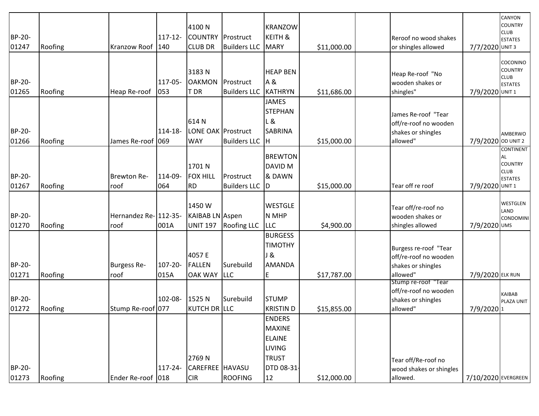| Roofing | Kranzow Roof               | $117 - 12$<br>140 | 4100N<br><b>COUNTRY</b><br><b>CLUB DR</b>                                                    | <b>Builders LLC</b>              | <b>KRANZOW</b><br><b>KEITH &amp;</b>                                                                                                                            | \$11,000.00                                                                                                                                                                                                                        |             |                                              | 7/7/2020 UNIT 3                                                                                                                                                                                                                                        | CANYON<br><b>COUNTRY</b><br><b>CLUB</b><br><b>ESTATES</b>                 |
|---------|----------------------------|-------------------|----------------------------------------------------------------------------------------------|----------------------------------|-----------------------------------------------------------------------------------------------------------------------------------------------------------------|------------------------------------------------------------------------------------------------------------------------------------------------------------------------------------------------------------------------------------|-------------|----------------------------------------------|--------------------------------------------------------------------------------------------------------------------------------------------------------------------------------------------------------------------------------------------------------|---------------------------------------------------------------------------|
| Roofing | Heap Re-roof               | 117-05-<br>053    | 3183N<br><b>OAKMON</b><br>T DR                                                               | Prostruct<br><b>Builders LLC</b> | A &                                                                                                                                                             | \$11,686.00                                                                                                                                                                                                                        |             | Heap Re-roof "No<br>wooden shakes or         | 7/9/2020 UNIT 1                                                                                                                                                                                                                                        | COCONINO<br><b>COUNTRY</b><br><b>CLUB</b><br><b>ESTATES</b>               |
| Roofing |                            | 114-18-           | 614N<br><b>WAY</b>                                                                           | <b>Builders LLC</b>              | <b>JAMES</b><br><b>SABRINA</b>                                                                                                                                  | \$15,000.00                                                                                                                                                                                                                        |             | James Re-roof "Tear<br>off/re-roof no wooden | 7/9/2020 OD UNIT 2                                                                                                                                                                                                                                     | AMBERWO                                                                   |
| Roofing | <b>Brewton Re-</b><br>roof | 114-09-<br>064    | 1701N<br><b>FOX HILL</b><br><b>RD</b>                                                        | Prostruct<br><b>Builders LLC</b> | <b>DAVID M</b><br>& DAWN                                                                                                                                        | \$15,000.00                                                                                                                                                                                                                        |             | Tear off re roof                             | 7/9/2020 UNIT 1                                                                                                                                                                                                                                        | <b>CONTINENT</b><br>AL<br><b>COUNTRY</b><br><b>CLUB</b><br><b>ESTATES</b> |
| Roofing | roof                       | 001A              | 1450W<br><b>UNIT 197</b>                                                                     |                                  | <b>WESTGLE</b>                                                                                                                                                  | \$4,900.00                                                                                                                                                                                                                         |             | Tear off/re-roof no<br>wooden shakes or      | 7/9/2020 UMS                                                                                                                                                                                                                                           | WESTGLEN<br>LAND<br><b>CONDOMINI</b>                                      |
| Roofing | <b>Burgess Re-</b><br>roof | $107 - 20 -$      | 4057 E<br><b>FALLEN</b><br><b>OAK WAY</b>                                                    | Surebuild                        | <b>TIMOTHY</b><br><b>AMANDA</b><br>E                                                                                                                            | \$17,787.00                                                                                                                                                                                                                        |             | off/re-roof no wooden<br>shakes or shingles  | 7/9/2020 ELK RUN                                                                                                                                                                                                                                       |                                                                           |
| Roofing |                            | 102-08-           | 1525N                                                                                        |                                  |                                                                                                                                                                 | \$15,855.00                                                                                                                                                                                                                        |             | Stump re-roof "Tear                          | 7/9/20201                                                                                                                                                                                                                                              | KAIBAB<br>PLAZA UNIT                                                      |
|         |                            | $117 - 24 -$      | 2769N                                                                                        |                                  | <b>ENDERS</b><br><b>ELAINE</b><br><b>LIVING</b>                                                                                                                 |                                                                                                                                                                                                                                    |             | Tear off/Re-roof no                          |                                                                                                                                                                                                                                                        |                                                                           |
|         | Roofing                    |                   | James Re-roof 069<br>Hernandez Re- 112-35-<br>015A<br>Stump Re-roof 077<br>Ender Re-roof 018 | <b>CIR</b>                       | Prostruct<br>LONE OAK Prostruct<br>KAIBAB LN Aspen<br><b>Roofing LLC</b><br><b>LLC</b><br>Surebuild<br>KUTCH DR LLC<br><b>CAREFREE HAVASU</b><br><b>ROOFING</b> | <b>MARY</b><br><b>HEAP BEN</b><br>KATHRYN<br><b>STEPHAN</b><br> L &<br>lн<br><b>BREWTON</b><br><b>D</b><br>N MHP<br><b>LLC</b><br><b>BURGESS</b><br>J &<br>Istump<br><b>KRISTIND</b><br>MAXINE<br><b>TRUST</b><br>DTD 08-31-<br>12 | \$12,000.00 |                                              | Reroof no wood shakes<br>or shingles allowed<br>shingles"<br>shakes or shingles<br>allowed"<br>shingles allowed<br>Burgess re-roof "Tear<br>allowed"<br>off/re-roof no wooden<br>shakes or shingles<br>allowed"<br>wood shakes or shingles<br>allowed. | 7/10/2020 EVERGREEN                                                       |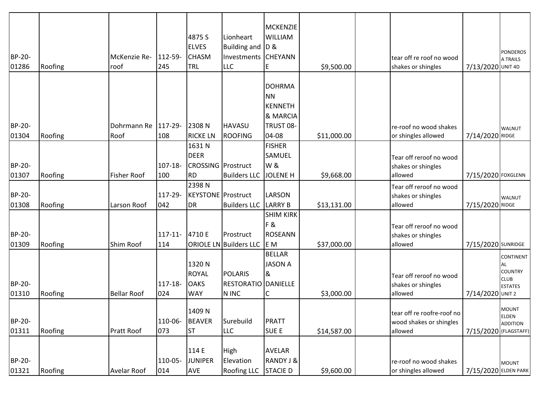| BP-20-          |         | McKenzie Re-          | 112-59-           | 4875 S<br><b>ELVES</b><br><b>CHASM</b>             | Lionheart<br>Building and D &<br>Investments CHEYANN  | MCKENZIE<br><b>WILLIAM</b>                                          |             | tear off re roof no wood                                 |                       | <b>PONDEROS</b><br>A TRAILS                                               |
|-----------------|---------|-----------------------|-------------------|----------------------------------------------------|-------------------------------------------------------|---------------------------------------------------------------------|-------------|----------------------------------------------------------|-----------------------|---------------------------------------------------------------------------|
| 01286           | Roofing | roof                  | 245               | TRL                                                | <b>LLC</b>                                            | E                                                                   | \$9,500.00  | shakes or shingles                                       | 7/13/2020 UNIT 4D     |                                                                           |
|                 |         |                       |                   |                                                    |                                                       | <b>DOHRMA</b><br><b>NN</b><br><b>KENNETH</b><br><b>&amp; MARCIA</b> |             |                                                          |                       |                                                                           |
| BP-20-          |         | Dohrmann Re   117-29- |                   | 2308N                                              | <b>HAVASU</b>                                         | TRUST 08-                                                           |             | re-roof no wood shakes                                   |                       | <b>WALNUT</b>                                                             |
| 01304           | Roofing | Roof                  | 108               | <b>RICKE LN</b>                                    | <b>ROOFING</b>                                        | 04-08                                                               | \$11,000.00 | or shingles allowed                                      | 7/14/2020 RIDGE       |                                                                           |
| <b>BP-20-</b>   |         |                       | 107-18-           | 1631 N<br><b>DEER</b><br><b>CROSSING</b> Prostruct |                                                       | <b>FISHER</b><br>SAMUEL<br><b>W&amp;</b>                            |             | Tear off reroof no wood<br>shakes or shingles            |                       |                                                                           |
| 01307           | Roofing | <b>Fisher Roof</b>    | 100               | <b>RD</b>                                          | <b>Builders LLC</b>                                   | <b>JOLENE H</b>                                                     | \$9,668.00  | allowed                                                  | 7/15/2020 FOXGLENN    |                                                                           |
| BP-20-<br>01308 | Roofing | Larson Roof           | 117-29-<br>042    | 2398N<br><b>KEYSTONE</b> Prostruct<br><b>DR</b>    | <b>Builders LLC</b>                                   | <b>LARSON</b><br><b>LARRY B</b>                                     | \$13,131.00 | Tear off reroof no wood<br>shakes or shingles<br>allowed | 7/15/2020 RIDGE       | <b>WALNUT</b>                                                             |
| BP-20-<br>01309 | Roofing | Shim Roof             | $117 - 11$<br>114 | 4710 E                                             | Prostruct<br><b>ORIOLE LN Builders LLC</b>            | <b>SHIM KIRK</b><br> F &<br>ROSEANN<br>E M                          | \$37,000.00 | Tear off reroof no wood<br>shakes or shingles<br>allowed | 7/15/2020 SUNRIDGE    |                                                                           |
| BP-20-<br>01310 | Roofing | <b>Bellar Roof</b>    | 117-18-<br>024    | 1320N<br><b>ROYAL</b><br><b>OAKS</b><br><b>WAY</b> | <b>POLARIS</b><br><b>RESTORATIO DANIELLE</b><br>N INC | <b>BELLAR</b><br><b>JASON A</b><br>8                                | \$3,000.00  | Tear off reroof no wood<br>shakes or shingles<br>allowed | 7/14/2020 UNIT 2      | <b>CONTINENT</b><br>AL<br><b>COUNTRY</b><br><b>CLUB</b><br><b>ESTATES</b> |
| BP-20-          |         |                       | 110-06-           | 1409N<br><b>BEAVER</b>                             | Surebuild                                             | PRATT                                                               |             | tear off re roofre-roof no<br>wood shakes or shingles    |                       | <b>MOUNT</b><br>ELDEN<br><b>ADDITION</b>                                  |
| 01311           | Roofing | Pratt Roof            | 073               | <b>ST</b>                                          | LLC                                                   | <b>SUE E</b>                                                        | \$14,587.00 | allowed                                                  | 7/15/2020 (FLAGSTAFF) |                                                                           |
| BP-20-<br>01321 | Roofing | Avelar Roof           | 110-05-<br>014    | 114 E<br><b>JUNIPER</b><br>AVE                     | <b>High</b><br>Elevation<br>Roofing LLC               | <b>AVELAR</b><br><b>RANDY J &amp;</b><br><b>STACIE D</b>            | \$9,600.00  | re-roof no wood shakes<br>or shingles allowed            | 7/15/2020 ELDEN PARK  | <b>MOUNT</b>                                                              |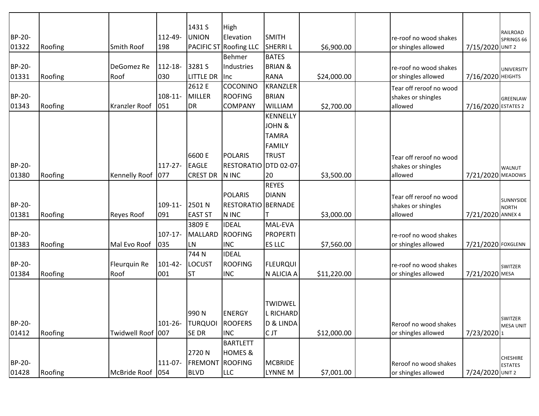|               |         |                   |              | 1431 S           | High                      |                        |             |                               |                     | RAILROAD             |
|---------------|---------|-------------------|--------------|------------------|---------------------------|------------------------|-------------|-------------------------------|---------------------|----------------------|
| BP-20-        |         |                   | 112-49-      | <b>UNION</b>     | Elevation                 | <b>SMITH</b>           |             | re-roof no wood shakes        |                     | SPRINGS 66           |
| 01322         | Roofing | <b>Smith Roof</b> | 198          |                  | PACIFIC ST Roofing LLC    | <b>SHERRIL</b>         | \$6,900.00  | or shingles allowed           | 7/15/2020 UNIT 2    |                      |
|               |         |                   |              |                  | <b>Behmer</b>             | <b>BATES</b>           |             |                               |                     |                      |
| BP-20-        |         | DeGomez Re        | $112 - 18 -$ | 3281 S           | Industries                | <b>BRIAN &amp;</b>     |             | re-roof no wood shakes        |                     | UNIVERSITY           |
| 01331         | Roofing | Roof              | 030          | <b>LITTLE DR</b> | Inc                       | <b>RANA</b>            | \$24,000.00 | or shingles allowed           | 7/16/2020 HEIGHTS   |                      |
|               |         |                   |              | 2612 E           | COCONINO                  | <b>KRANZLER</b>        |             | Tear off reroof no wood       |                     |                      |
| <b>BP-20-</b> |         |                   | $108 - 11 -$ | <b>MILLER</b>    | <b>ROOFING</b>            | <b>BRIAN</b>           |             | shakes or shingles            |                     | GREENLAW             |
| 01343         | Roofing | Kranzler Roof     | 051          | <b>DR</b>        | <b>COMPANY</b>            | <b>WILLIAM</b>         | \$2,700.00  | allowed                       | 7/16/2020 ESTATES 2 |                      |
|               |         |                   |              |                  |                           | KENNELLY               |             |                               |                     |                      |
|               |         |                   |              |                  |                           | JOHN &<br><b>TAMRA</b> |             |                               |                     |                      |
|               |         |                   |              |                  |                           | <b>FAMILY</b>          |             |                               |                     |                      |
|               |         |                   |              | 6600 E           | <b>POLARIS</b>            | <b>TRUST</b>           |             |                               |                     |                      |
| BP-20-        |         |                   | $117 - 27 -$ | <b>EAGLE</b>     | RESTORATIO DTD 02-07      |                        |             | Tear off reroof no wood       |                     |                      |
| 01380         | Roofing | Kennelly Roof     | 077          | <b>CREST DR</b>  | N INC                     | 20                     | \$3,500.00  | shakes or shingles<br>allowed | 7/21/2020 MEADOWS   | <b>WALNUT</b>        |
|               |         |                   |              |                  |                           | <b>REYES</b>           |             |                               |                     |                      |
|               |         |                   |              |                  | <b>POLARIS</b>            | <b>DIANN</b>           |             | Tear off reroof no wood       |                     |                      |
| BP-20-        |         |                   | $109-11-$    | 2501N            | <b>RESTORATIO BERNADE</b> |                        |             | shakes or shingles            |                     | SUNNYSIDE            |
| 01381         | Roofing | <b>Reyes Roof</b> | 091          | <b>EAST ST</b>   | N INC                     |                        | \$3,000.00  | allowed                       | 7/21/2020 ANNEX 4   | NORTH                |
|               |         |                   |              | 3809 E           | <b>IDEAL</b>              | MAL-EVA                |             |                               |                     |                      |
| BP-20-        |         |                   | $107 - 17$   | <b>MALLARD</b>   | <b>ROOFING</b>            | PROPERTI               |             | re-roof no wood shakes        |                     |                      |
| 01383         | Roofing | Mal Evo Roof      | 035          | LN               | <b>INC</b>                | ES LLC                 | \$7,560.00  | or shingles allowed           | 7/21/2020 FOXGLENN  |                      |
|               |         |                   |              | 744 N            | <b>IDEAL</b>              |                        |             |                               |                     |                      |
| BP-20-        |         | Fleurquin Re      | $101 - 42 -$ | <b>LOCUST</b>    | <b>ROOFING</b>            | <b>FLEURQUI</b>        |             | re-roof no wood shakes        |                     | SWITZER              |
| 01384         | Roofing | Roof              | 001          | <b>ST</b>        | <b>INC</b>                | N ALICIA A             | \$11,220.00 | or shingles allowed           | 7/21/2020 MESA      |                      |
|               |         |                   |              |                  |                           |                        |             |                               |                     |                      |
|               |         |                   |              |                  |                           |                        |             |                               |                     |                      |
|               |         |                   |              |                  |                           | <b>TWIDWEL</b>         |             |                               |                     |                      |
|               |         |                   |              | 990N             | <b>ENERGY</b>             | L RICHARD              |             |                               |                     |                      |
| BP-20-        |         |                   | $101 - 26 -$ | <b>TURQUOI</b>   | <b>ROOFERS</b>            | D & LINDA              |             | Reroof no wood shakes         |                     | SWITZER<br>MESA UNIT |
| 01412         | Roofing | Twidwell Roof 007 |              | <b>SEDR</b>      | <b>INC</b>                | C JT                   | \$12,000.00 | or shingles allowed           | 7/23/20201          |                      |
|               |         |                   |              |                  | <b>BARTLETT</b>           |                        |             |                               |                     |                      |
|               |         |                   |              | 2720N            | <b>HOMES &amp;</b>        |                        |             |                               |                     | <b>CHESHIRE</b>      |
| BP-20-        |         |                   | 111-07-      | <b>FREMONT</b>   | <b>ROOFING</b>            | MCBRIDE                |             | Reroof no wood shakes         |                     | <b>ESTATES</b>       |
| 01428         | Roofing | McBride Roof      | 054          | <b>BLVD</b>      | <b>LLC</b>                | LYNNE M                | \$7,001.00  | or shingles allowed           | 7/24/2020 UNIT 2    |                      |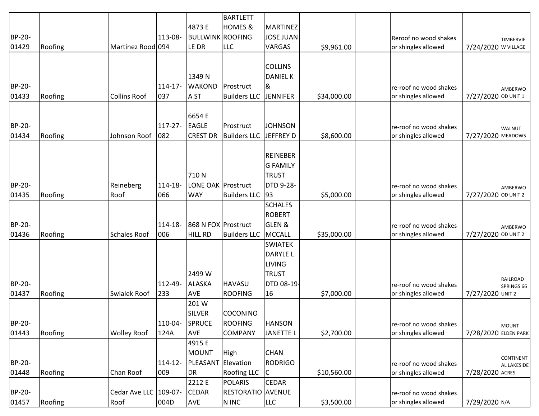|        |         |                       |              |                         | <b>BARTLETT</b>          |                   |             |                        |                      |                                 |
|--------|---------|-----------------------|--------------|-------------------------|--------------------------|-------------------|-------------|------------------------|----------------------|---------------------------------|
|        |         |                       |              | 4873 E                  | <b>HOMES &amp;</b>       | MARTINEZ          |             |                        |                      |                                 |
| BP-20- |         |                       | 113-08-      | <b>BULLWINK ROOFING</b> |                          | JOSE JUAN         |             | Reroof no wood shakes  |                      | <b>TIMBERVIE</b>                |
| 01429  | Roofing | Martinez Rood 094     |              | LE DR                   | <b>LLC</b>               | VARGAS            | \$9,961.00  | or shingles allowed    | 7/24/2020 W VILLAGE  |                                 |
|        |         |                       |              |                         |                          |                   |             |                        |                      |                                 |
|        |         |                       |              |                         |                          | <b>COLLINS</b>    |             |                        |                      |                                 |
|        |         |                       |              | 1349 N                  |                          | <b>DANIEL K</b>   |             |                        |                      |                                 |
| BP-20- |         |                       | $114 - 17$   | <b>WAKOND</b>           | Prostruct                | ।&                |             | re-roof no wood shakes |                      | AMBERWO                         |
| 01433  | Roofing | <b>Collins Roof</b>   | 037          | A ST                    | <b>Builders LLC</b>      | <b>JENNIFER</b>   | \$34,000.00 | or shingles allowed    | 7/27/2020 OD UNIT 1  |                                 |
|        |         |                       |              |                         |                          |                   |             |                        |                      |                                 |
|        |         |                       |              | 6654 E                  |                          |                   |             |                        |                      |                                 |
| BP-20- |         |                       | $117 - 27 -$ | <b>EAGLE</b>            | Prostruct                | <b>JOHNSON</b>    |             | re-roof no wood shakes |                      | <b>WALNUT</b>                   |
| 01434  | Roofing | Johnson Roof          | 082          | <b>CREST DR</b>         | <b>Builders LLC</b>      | JEFFREY D         | \$8,600.00  | or shingles allowed    | 7/27/2020 MEADOWS    |                                 |
|        |         |                       |              |                         |                          |                   |             |                        |                      |                                 |
|        |         |                       |              |                         |                          | REINEBER          |             |                        |                      |                                 |
|        |         |                       |              |                         |                          | <b>G FAMILY</b>   |             |                        |                      |                                 |
|        |         |                       |              | 710N                    |                          | <b>TRUST</b>      |             |                        |                      |                                 |
| BP-20- |         | Reineberg             | 114-18-      | LONE OAK Prostruct      |                          | <b>DTD 9-28-</b>  |             | re-roof no wood shakes |                      | AMBERWO                         |
| 01435  | Roofing | Roof                  | 066          | <b>WAY</b>              | <b>Builders LLC</b>      | 93                | \$5,000.00  | or shingles allowed    | 7/27/2020 OD UNIT 2  |                                 |
|        |         |                       |              |                         |                          | <b>SCHALES</b>    |             |                        |                      |                                 |
|        |         |                       |              |                         |                          | ROBERT            |             |                        |                      |                                 |
| BP-20- |         |                       | 114-18-      | 868 N FOX Prostruct     |                          | <b>GLEN &amp;</b> |             | re-roof no wood shakes |                      | AMBERWO                         |
| 01436  | Roofing | <b>Schales Roof</b>   | 006          | <b>HILL RD</b>          | <b>Builders LLC</b>      | MCCALL            | \$35,000.00 | or shingles allowed    | 7/27/2020 OD UNIT 2  |                                 |
|        |         |                       |              |                         |                          | <b>SWIATEK</b>    |             |                        |                      |                                 |
|        |         |                       |              |                         |                          | <b>DARYLEL</b>    |             |                        |                      |                                 |
|        |         |                       |              |                         |                          | LIVING            |             |                        |                      |                                 |
|        |         |                       |              | 2499 W                  |                          | <b>TRUST</b>      |             |                        |                      |                                 |
| BP-20- |         |                       | 112-49-      | <b>ALASKA</b>           | <b>HAVASU</b>            | DTD 08-19-        |             | re-roof no wood shakes |                      | <b>RAILROAD</b><br>SPRINGS 66   |
| 01437  | Roofing | <b>Swialek Roof</b>   | 233          | <b>AVE</b>              | <b>ROOFING</b>           | 16                | \$7,000.00  | or shingles allowed    | 7/27/2020 UNIT 2     |                                 |
|        |         |                       |              | 201 W                   |                          |                   |             |                        |                      |                                 |
|        |         |                       |              | <b>SILVER</b>           | <b>COCONINO</b>          |                   |             |                        |                      |                                 |
| BP-20- |         |                       | 110-04-      | SPRUCE                  | <b>ROOFING</b>           | <b>HANSON</b>     |             | re-roof no wood shakes |                      | <b>MOUNT</b>                    |
| 01443  | Roofing | <b>Wolley Roof</b>    | 124A         | <b>AVE</b>              | COMPANY                  | <b>JANETTE L</b>  | \$2,700.00  | or shingles allowed    | 7/28/2020 ELDEN PARK |                                 |
|        |         |                       |              | 4915 E                  |                          |                   |             |                        |                      |                                 |
|        |         |                       |              | <b>MOUNT</b>            | High                     | <b>CHAN</b>       |             |                        |                      |                                 |
| BP-20- |         |                       | $114 - 12$   | PLEASANT                | Elevation                | <b>RODRIGO</b>    |             | re-roof no wood shakes |                      | <b>CONTINENT</b><br>AL LAKESIDE |
| 01448  | Roofing | Chan Roof             | 009          | <b>DR</b>               | <b>Roofing LLC</b>       | IС                | \$10,560.00 | or shingles allowed    | 7/28/2020 ACRES      |                                 |
|        |         |                       |              | 2212 E                  | <b>POLARIS</b>           | <b>CEDAR</b>      |             |                        |                      |                                 |
| BP-20- |         | Cedar Ave LLC 109-07- |              | <b>CEDAR</b>            | <b>RESTORATIO AVENUE</b> |                   |             | re-roof no wood shakes |                      |                                 |
| 01457  | Roofing | Roof                  | 004D         | <b>AVE</b>              | N INC                    | <b>LLC</b>        | \$3,500.00  | or shingles allowed    | 7/29/2020 N/A        |                                 |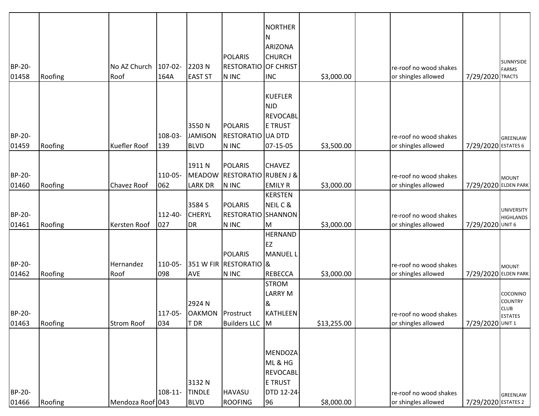|        |         |                     |              |                          |                                 | NORTHER           |             |                        |                      |                               |
|--------|---------|---------------------|--------------|--------------------------|---------------------------------|-------------------|-------------|------------------------|----------------------|-------------------------------|
|        |         |                     |              |                          |                                 | ΙN                |             |                        |                      |                               |
|        |         |                     |              |                          |                                 | ARIZONA           |             |                        |                      |                               |
|        |         |                     |              |                          | <b>POLARIS</b>                  | <b>CHURCH</b>     |             |                        |                      | SUNNYSIDE                     |
| BP-20- |         | No AZ Church        | $107 - 02 -$ | 2203N                    | <b>RESTORATIO OF CHRIST</b>     |                   |             | re-roof no wood shakes |                      | FARMS                         |
| 01458  | Roofing | Roof                | 164A         | <b>EAST ST</b>           | N INC                           | <b>INC</b>        | \$3,000.00  | or shingles allowed    | 7/29/2020 TRACTS     |                               |
|        |         |                     |              |                          |                                 |                   |             |                        |                      |                               |
|        |         |                     |              |                          |                                 | KUEFLER           |             |                        |                      |                               |
|        |         |                     |              |                          |                                 | <b>NJD</b>        |             |                        |                      |                               |
|        |         |                     |              |                          |                                 | REVOCABL          |             |                        |                      |                               |
|        |         |                     |              | 3550N                    | <b>POLARIS</b>                  | <b>E TRUST</b>    |             |                        |                      |                               |
| BP-20- |         |                     | 108-03-      | <b>JAMISON</b>           | RESTORATIO UA DTD               |                   |             | re-roof no wood shakes |                      | GREENLAW                      |
| 01459  | Roofing | <b>Kuefler Roof</b> | 139          | <b>BLVD</b>              | N INC                           | 07-15-05          | \$3,500.00  | or shingles allowed    | 7/29/2020 ESTATES 6  |                               |
|        |         |                     |              |                          |                                 |                   |             |                        |                      |                               |
|        |         |                     |              | 1911 N                   | <b>POLARIS</b>                  | <b>CHAVEZ</b>     |             |                        |                      |                               |
| BP-20- |         |                     | 110-05-      | <b>MEADOW</b>            | <b>RESTORATIO RUBEN J &amp;</b> |                   |             | re-roof no wood shakes |                      | MOUNT                         |
| 01460  | Roofing | Chavez Roof         | 062          | <b>LARK DR</b>           | N INC                           | <b>EMILY R</b>    | \$3,000.00  | or shingles allowed    | 7/29/2020 ELDEN PARK |                               |
|        |         |                     |              |                          |                                 | KERSTEN           |             |                        |                      |                               |
|        |         |                     |              | 3584 S                   | <b>POLARIS</b>                  | NEIL C &          |             |                        |                      | <b>UNIVERSITY</b>             |
| BP-20- |         |                     | 112-40-      | <b>CHERYL</b>            | <b>RESTORATIO SHANNON</b>       |                   |             | re-roof no wood shakes |                      | <b>HIGHLANDS</b>              |
| 01461  | Roofing | Kersten Roof        | 027          | <b>DR</b>                | N INC                           | IM.               | \$3,000.00  | or shingles allowed    | 7/29/2020 UNIT 6     |                               |
|        |         |                     |              |                          |                                 | <b>HERNAND</b>    |             |                        |                      |                               |
|        |         |                     |              |                          |                                 | <b>IEZ</b>        |             |                        |                      |                               |
|        |         |                     |              |                          | <b>POLARIS</b>                  | MANUEL L          |             |                        |                      |                               |
| BP-20- |         | Hernandez           | 110-05-      |                          | 351 W FIR RESTORATIO &          |                   |             | re-roof no wood shakes |                      | <b>MOUNT</b>                  |
| 01462  | Roofing | Roof                | 098          | <b>AVE</b>               | N INC                           | REBECCA           | \$3,000.00  | or shingles allowed    | 7/29/2020 ELDEN PARK |                               |
|        |         |                     |              |                          |                                 | <b>STROM</b>      |             |                        |                      |                               |
|        |         |                     |              |                          |                                 | <b>LARRY M</b>    |             |                        |                      | COCONINO                      |
|        |         |                     |              | 2924 N                   |                                 | 8                 |             |                        |                      | <b>COUNTRY</b><br><b>CLUB</b> |
| BP-20- |         |                     |              | 117-05- OAKMON Prostruct |                                 | KATHLEEN          |             | re-roof no wood shakes |                      | <b>ESTATES</b>                |
| 01463  | Roofing | <b>Strom Roof</b>   | 034          | T DR                     | Builders LLC M                  |                   | \$13,255.00 | or shingles allowed    | 7/29/2020 UNIT 1     |                               |
|        |         |                     |              |                          |                                 |                   |             |                        |                      |                               |
|        |         |                     |              |                          |                                 |                   |             |                        |                      |                               |
|        |         |                     |              |                          |                                 | MENDOZA           |             |                        |                      |                               |
|        |         |                     |              |                          |                                 | ML & HG           |             |                        |                      |                               |
|        |         |                     |              |                          |                                 | <b>REVOCABL</b>   |             |                        |                      |                               |
|        |         |                     |              | 3132 N                   |                                 | <b>E TRUST</b>    |             |                        |                      |                               |
| BP-20- |         |                     | $108 - 11 -$ | <b>TINDLE</b>            | <b>HAVASU</b>                   | <b>DTD 12-24-</b> |             | re-roof no wood shakes |                      | <b>GREENLAW</b>               |
| 01466  | Roofing | Mendoza Roof 043    |              | <b>BLVD</b>              | <b>ROOFING</b>                  | 96                | \$8,000.00  | or shingles allowed    | 7/29/2020 ESTATES 2  |                               |